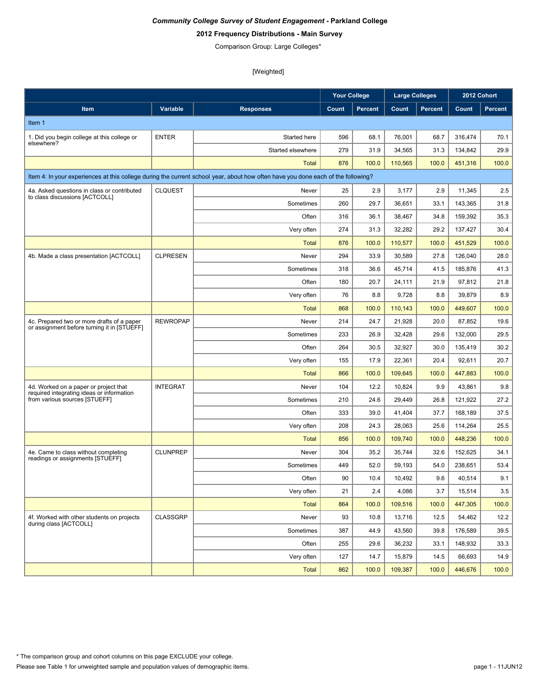# **2012 Frequency Distributions - Main Survey**

Comparison Group: Large Colleges\*

|                                                                                           |                 |                                                                                                                                  | <b>Your College</b> |                | <b>Large Colleges</b> |                |         | 2012 Cohort    |
|-------------------------------------------------------------------------------------------|-----------------|----------------------------------------------------------------------------------------------------------------------------------|---------------------|----------------|-----------------------|----------------|---------|----------------|
| Item                                                                                      | Variable        | <b>Responses</b>                                                                                                                 | Count               | <b>Percent</b> | Count                 | <b>Percent</b> | Count   | <b>Percent</b> |
| Item 1                                                                                    |                 |                                                                                                                                  |                     |                |                       |                |         |                |
| 1. Did you begin college at this college or                                               | <b>ENTER</b>    | Started here                                                                                                                     | 596                 | 68.1           | 76,001                | 68.7           | 316,474 | 70.1           |
| elsewhere?                                                                                |                 | Started elsewhere                                                                                                                | 279                 | 31.9           | 34,565                | 31.3           | 134.842 | 29.9           |
|                                                                                           |                 | Total                                                                                                                            | 876                 | 100.0          | 110,565               | 100.0          | 451,316 | 100.0          |
|                                                                                           |                 | Item 4: In your experiences at this college during the current school year, about how often have you done each of the following? |                     |                |                       |                |         |                |
| 4a. Asked questions in class or contributed                                               | <b>CLQUEST</b>  | Never                                                                                                                            | 25                  | 2.9            | 3,177                 | 2.9            | 11,345  | 2.5            |
| to class discussions [ACTCOLL]                                                            |                 | Sometimes                                                                                                                        | 260                 | 29.7           | 36,651                | 33.1           | 143,365 | 31.8           |
|                                                                                           |                 | Often                                                                                                                            | 316                 | 36.1           | 38,467                | 34.8           | 159,392 | 35.3           |
|                                                                                           |                 | Very often                                                                                                                       | 274                 | 31.3           | 32,282                | 29.2           | 137,427 | 30.4           |
|                                                                                           |                 | Total                                                                                                                            | 876                 | 100.0          | 110,577               | 100.0          | 451,529 | 100.0          |
| 4b. Made a class presentation [ACTCOLL]                                                   | <b>CLPRESEN</b> | Never                                                                                                                            | 294                 | 33.9           | 30,589                | 27.8           | 126,040 | 28.0           |
|                                                                                           |                 | Sometimes                                                                                                                        | 318                 | 36.6           | 45,714                | 41.5           | 185,876 | 41.3           |
|                                                                                           |                 | Often                                                                                                                            | 180                 | 20.7           | 24,111                | 21.9           | 97,812  | 21.8           |
|                                                                                           |                 | Very often                                                                                                                       | 76                  | 8.8            | 9,728                 | 8.8            | 39,879  | 8.9            |
|                                                                                           |                 | <b>Total</b>                                                                                                                     | 868                 | 100.0          | 110,143               | 100.0          | 449,607 | 100.0          |
| 4c. Prepared two or more drafts of a paper<br>or assignment before turning it in [STUEFF] | <b>REWROPAP</b> | Never                                                                                                                            | 214                 | 24.7           | 21,928                | 20.0           | 87,852  | 19.6           |
|                                                                                           |                 | Sometimes                                                                                                                        | 233                 | 26.9           | 32,428                | 29.6           | 132,000 | 29.5           |
|                                                                                           |                 | Often                                                                                                                            | 264                 | 30.5           | 32,927                | 30.0           | 135,419 | 30.2           |
|                                                                                           |                 | Very often                                                                                                                       | 155                 | 17.9           | 22,361                | 20.4           | 92,611  | 20.7           |
|                                                                                           |                 | <b>Total</b>                                                                                                                     | 866                 | 100.0          | 109,645               | 100.0          | 447,883 | 100.0          |
| 4d. Worked on a paper or project that<br>required integrating ideas or information        | <b>INTEGRAT</b> | Never                                                                                                                            | 104                 | 12.2           | 10,824                | 9.9            | 43,861  | 9.8            |
| from various sources [STUEFF]                                                             |                 | Sometimes                                                                                                                        | 210                 | 24.6           | 29,449                | 26.8           | 121,922 | 27.2           |
|                                                                                           |                 | Often                                                                                                                            | 333                 | 39.0           | 41,404                | 37.7           | 168,189 | 37.5           |
|                                                                                           |                 | Very often                                                                                                                       | 208                 | 24.3           | 28,063                | 25.6           | 114,264 | 25.5           |
|                                                                                           |                 | <b>Total</b>                                                                                                                     | 856                 | 100.0          | 109.740               | 100.0          | 448,236 | 100.0          |
| 4e. Came to class without completing<br>readings or assignments [STUEFF]                  | <b>CLUNPREP</b> | Never                                                                                                                            | 304                 | 35.2           | 35,744                | 32.6           | 152,625 | 34.1           |
|                                                                                           |                 | Sometimes                                                                                                                        | 449                 | 52.0           | 59,193                | 54.0           | 238,651 | 53.4           |
|                                                                                           |                 | Often                                                                                                                            | 90                  | 10.4           | 10,492                | 9.6            | 40,514  | 9.1            |
|                                                                                           |                 | Very often                                                                                                                       | 21                  | 2.4            | 4,086                 | 3.7            | 15,514  | 3.5            |
|                                                                                           |                 | <b>Total</b>                                                                                                                     | 864                 | 100.0          | 109,516               | 100.0          | 447,305 | 100.0          |
| 4f. Worked with other students on projects<br>during class [ACTCOLL]                      | <b>CLASSGRP</b> | Never                                                                                                                            | 93                  | 10.8           | 13,716                | 12.5           | 54,462  | 12.2           |
|                                                                                           |                 | Sometimes                                                                                                                        | 387                 | 44.9           | 43,560                | 39.8           | 176,589 | 39.5           |
|                                                                                           |                 | Often                                                                                                                            | 255                 | 29.6           | 36,232                | 33.1           | 148,932 | 33.3           |
|                                                                                           |                 | Very often                                                                                                                       | 127                 | 14.7           | 15,879                | 14.5           | 66,693  | 14.9           |
|                                                                                           |                 | <b>Total</b>                                                                                                                     | 862                 | 100.0          | 109,387               | 100.0          | 446,676 | 100.0          |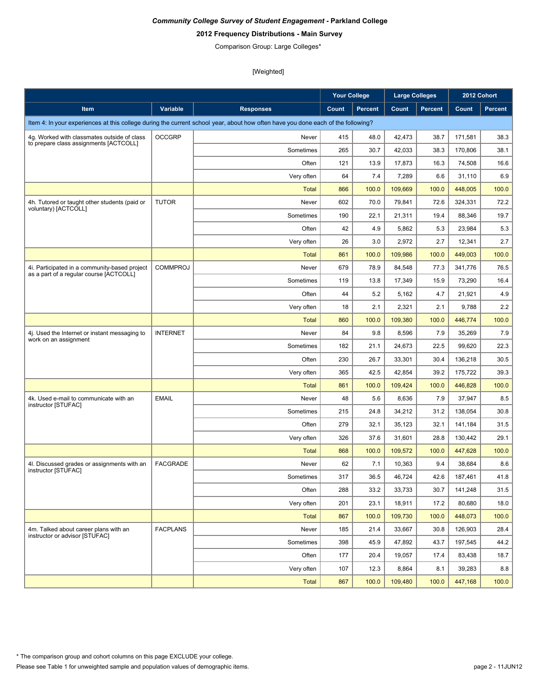# **2012 Frequency Distributions - Main Survey**

Comparison Group: Large Colleges\*

|                                                                                          |                 |                                                                                                                                  | <b>Your College</b> |                | <b>Large Colleges</b> |                | 2012 Cohort |                |
|------------------------------------------------------------------------------------------|-----------------|----------------------------------------------------------------------------------------------------------------------------------|---------------------|----------------|-----------------------|----------------|-------------|----------------|
| Item                                                                                     | Variable        | <b>Responses</b>                                                                                                                 | Count               | <b>Percent</b> | Count                 | <b>Percent</b> | Count       | <b>Percent</b> |
|                                                                                          |                 | Item 4: In your experiences at this college during the current school year, about how often have you done each of the following? |                     |                |                       |                |             |                |
| 4g. Worked with classmates outside of class                                              | <b>OCCGRP</b>   | Never                                                                                                                            | 415                 | 48.0           | 42,473                | 38.7           | 171,581     | 38.3           |
| to prepare class assignments [ACTCOLL]                                                   |                 | Sometimes                                                                                                                        | 265                 | 30.7           | 42,033                | 38.3           | 170,806     | 38.1           |
|                                                                                          |                 | Often                                                                                                                            | 121                 | 13.9           | 17,873                | 16.3           | 74,508      | 16.6           |
|                                                                                          |                 | Very often                                                                                                                       | 64                  | 7.4            | 7,289                 | 6.6            | 31,110      | 6.9            |
|                                                                                          |                 | Total                                                                                                                            | 866                 | 100.0          | 109,669               | 100.0          | 448,005     | 100.0          |
| 4h. Tutored or taught other students (paid or                                            | <b>TUTOR</b>    | Never                                                                                                                            | 602                 | 70.0           | 79,841                | 72.6           | 324,331     | 72.2           |
| voluntary) [ACTCOLL]                                                                     |                 | Sometimes                                                                                                                        | 190                 | 22.1           | 21,311                | 19.4           | 88,346      | 19.7           |
|                                                                                          |                 | Often                                                                                                                            | 42                  | 4.9            | 5,862                 | 5.3            | 23,984      | 5.3            |
|                                                                                          |                 | Very often                                                                                                                       | 26                  | 3.0            | 2,972                 | 2.7            | 12,341      | 2.7            |
|                                                                                          |                 | Total                                                                                                                            | 861                 | 100.0          | 109,986               | 100.0          | 449,003     | 100.0          |
| 4i. Participated in a community-based project<br>as a part of a regular course [ACTCOLL] | <b>COMMPROJ</b> | Never                                                                                                                            | 679                 | 78.9           | 84,548                | 77.3           | 341,776     | 76.5           |
|                                                                                          |                 | Sometimes                                                                                                                        | 119                 | 13.8           | 17,349                | 15.9           | 73,290      | 16.4           |
|                                                                                          |                 | Often                                                                                                                            | 44                  | 5.2            | 5,162                 | 4.7            | 21,921      | 4.9            |
|                                                                                          |                 | Very often                                                                                                                       | 18                  | 2.1            | 2,321                 | 2.1            | 9,788       | 2.2            |
|                                                                                          |                 | <b>Total</b>                                                                                                                     | 860                 | 100.0          | 109,380               | 100.0          | 446,774     | 100.0          |
| 4j. Used the Internet or instant messaging to                                            | <b>INTERNET</b> | Never                                                                                                                            | 84                  | 9.8            | 8,596                 | 7.9            | 35,269      | 7.9            |
| work on an assignment                                                                    |                 | Sometimes                                                                                                                        | 182                 | 21.1           | 24,673                | 22.5           | 99,620      | 22.3           |
|                                                                                          |                 | Often                                                                                                                            | 230                 | 26.7           | 33,301                | 30.4           | 136,218     | 30.5           |
|                                                                                          |                 | Very often                                                                                                                       | 365                 | 42.5           | 42,854                | 39.2           | 175,722     | 39.3           |
|                                                                                          |                 | <b>Total</b>                                                                                                                     | 861                 | 100.0          | 109,424               | 100.0          | 446,828     | 100.0          |
| 4k. Used e-mail to communicate with an<br>instructor [STUFAC]                            | <b>EMAIL</b>    | Never                                                                                                                            | 48                  | 5.6            | 8,636                 | 7.9            | 37,947      | 8.5            |
|                                                                                          |                 | Sometimes                                                                                                                        | 215                 | 24.8           | 34,212                | 31.2           | 138,054     | 30.8           |
|                                                                                          |                 | Often                                                                                                                            | 279                 | 32.1           | 35,123                | 32.1           | 141,184     | 31.5           |
|                                                                                          |                 | Very often                                                                                                                       | 326                 | 37.6           | 31,601                | 28.8           | 130,442     | 29.1           |
|                                                                                          |                 | Total                                                                                                                            | 868                 | 100.0          | 109,572               | 100.0          | 447,628     | 100.0          |
| 4I. Discussed grades or assignments with an<br>instructor [STUFAC]                       | <b>FACGRADE</b> | Never                                                                                                                            | 62                  | 7.1            | 10,363                | 9.4            | 38,684      | 8.6            |
|                                                                                          |                 | Sometimes                                                                                                                        | 317                 | 36.5           | 46,724                | 42.6           | 187,461     | 41.8           |
|                                                                                          |                 | Often                                                                                                                            | 288                 | 33.2           | 33,733                | 30.7           | 141,248     | 31.5           |
|                                                                                          |                 | Very often                                                                                                                       | 201                 | 23.1           | 18,911                | 17.2           | 80,680      | 18.0           |
|                                                                                          |                 | <b>Total</b>                                                                                                                     | 867                 | 100.0          | 109,730               | 100.0          | 448,073     | 100.0          |
| 4m. Talked about career plans with an<br>instructor or advisor [STUFAC]                  | <b>FACPLANS</b> | Never                                                                                                                            | 185                 | 21.4           | 33,667                | 30.8           | 126,903     | 28.4           |
|                                                                                          |                 | Sometimes                                                                                                                        | 398                 | 45.9           | 47,892                | 43.7           | 197,545     | 44.2           |
|                                                                                          |                 | Often                                                                                                                            | 177                 | 20.4           | 19,057                | 17.4           | 83,438      | 18.7           |
|                                                                                          |                 | Very often                                                                                                                       | 107                 | 12.3           | 8,864                 | 8.1            | 39,283      | 8.8            |
|                                                                                          |                 | <b>Total</b>                                                                                                                     | 867                 | 100.0          | 109,480               | 100.0          | 447,168     | 100.0          |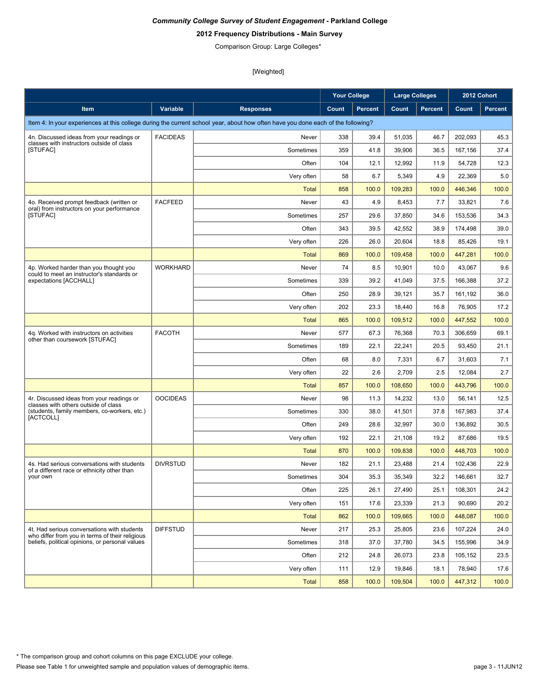# **2012 Frequency Distributions - Main Survey**

Comparison Group: Large Colleges\*

|                                                                                                |                 |                                                                                                                                  | <b>Your College</b> |                | <b>Large Colleges</b> |                |         | 2012 Cohort |
|------------------------------------------------------------------------------------------------|-----------------|----------------------------------------------------------------------------------------------------------------------------------|---------------------|----------------|-----------------------|----------------|---------|-------------|
| Item                                                                                           | Variable        | <b>Responses</b>                                                                                                                 | Count               | <b>Percent</b> | Count                 | <b>Percent</b> | Count   | Percent     |
|                                                                                                |                 | Item 4: In your experiences at this college during the current school year, about how often have you done each of the following? |                     |                |                       |                |         |             |
| 4n. Discussed ideas from your readings or                                                      | <b>FACIDEAS</b> | Never                                                                                                                            | 338                 | 39.4           | 51,035                | 46.7           | 202,093 | 45.3        |
| classes with instructors outside of class<br>[STUFAC]                                          |                 | Sometimes                                                                                                                        | 359                 | 41.8           | 39,906                | 36.5           | 167,156 | 37.4        |
|                                                                                                |                 | Often                                                                                                                            | 104                 | 12.1           | 12,992                | 11.9           | 54,728  | 12.3        |
|                                                                                                |                 | Very often                                                                                                                       | 58                  | 6.7            | 5,349                 | 4.9            | 22,369  | 5.0         |
|                                                                                                |                 | Total                                                                                                                            | 858                 | 100.0          | 109,283               | 100.0          | 446,346 | 100.0       |
| 4o. Received prompt feedback (written or                                                       | <b>FACFEED</b>  | Never                                                                                                                            | 43                  | 4.9            | 8,453                 | 7.7            | 33,821  | 7.6         |
| oral) from instructors on your performance<br>[STUFAC]                                         |                 | Sometimes                                                                                                                        | 257                 | 29.6           | 37.850                | 34.6           | 153,536 | 34.3        |
|                                                                                                |                 | Often                                                                                                                            | 343                 | 39.5           | 42,552                | 38.9           | 174,498 | 39.0        |
|                                                                                                |                 | Very often                                                                                                                       | 226                 | 26.0           | 20,604                | 18.8           | 85,426  | 19.1        |
|                                                                                                |                 | <b>Total</b>                                                                                                                     | 869                 | 100.0          | 109,458               | 100.0          | 447,281 | 100.0       |
| 4p. Worked harder than you thought you                                                         | <b>WORKHARD</b> | Never                                                                                                                            | 74                  | 8.5            | 10,901                | 10.0           | 43,067  | 9.6         |
| could to meet an instructor's standards or<br>expectations [ACCHALL]                           |                 | Sometimes                                                                                                                        | 339                 | 39.2           | 41,049                | 37.5           | 166,388 | 37.2        |
|                                                                                                |                 | Often                                                                                                                            | 250                 | 28.9           | 39,121                | 35.7           | 161,192 | 36.0        |
|                                                                                                |                 | Very often                                                                                                                       | 202                 | 23.3           | 18,440                | 16.8           | 76,905  | 17.2        |
|                                                                                                |                 | <b>Total</b>                                                                                                                     | 865                 | 100.0          | 109,512               | 100.0          | 447,552 | 100.0       |
| 4q. Worked with instructors on activities                                                      | <b>FACOTH</b>   | Never                                                                                                                            | 577                 | 67.3           | 76,368                | 70.3           | 306,659 | 69.1        |
| other than coursework [STUFAC]                                                                 |                 | Sometimes                                                                                                                        | 189                 | 22.1           | 22,241                | 20.5           | 93,450  | 21.1        |
|                                                                                                |                 | Often                                                                                                                            | 68                  | 8.0            | 7,331                 | 6.7            | 31,603  | 7.1         |
|                                                                                                |                 | Very often                                                                                                                       | 22                  | 2.6            | 2,709                 | 2.5            | 12,084  | 2.7         |
|                                                                                                |                 | <b>Total</b>                                                                                                                     | 857                 | 100.0          | 108,650               | 100.0          | 443,796 | 100.0       |
| 4r. Discussed ideas from your readings or<br>classes with others outside of class              | <b>OOCIDEAS</b> | Never                                                                                                                            | 98                  | 11.3           | 14,232                | 13.0           | 56,141  | 12.5        |
| (students, family members, co-workers, etc.)<br>[ACTCOLL]                                      |                 | Sometimes                                                                                                                        | 330                 | 38.0           | 41,501                | 37.8           | 167,983 | 37.4        |
|                                                                                                |                 | Often                                                                                                                            | 249                 | 28.6           | 32,997                | 30.0           | 136,892 | 30.5        |
|                                                                                                |                 | Very often                                                                                                                       | 192                 | 22.1           | 21,108                | 19.2           | 87,686  | 19.5        |
|                                                                                                |                 | Total                                                                                                                            | 870                 | 100.0          | 109,838               | 100.0          | 448,703 | 100.0       |
| 4s. Had serious conversations with students<br>of a different race or ethnicity other than     | <b>DIVRSTUD</b> | Never                                                                                                                            | 182                 | 21.1           | 23,488                | 21.4           | 102,436 | 22.9        |
| your own                                                                                       |                 | Sometimes                                                                                                                        | 304                 | 35.3           | 35,349                | 32.2           | 146,661 | 32.7        |
|                                                                                                |                 | Often                                                                                                                            | 225                 | 26.1           | 27,490                | 25.1           | 108,301 | 24.2        |
|                                                                                                |                 | Very often                                                                                                                       | 151                 | 17.6           | 23,339                | 21.3           | 90,690  | 20.2        |
|                                                                                                |                 | <b>Total</b>                                                                                                                     | 862                 | 100.0          | 109,665               | 100.0          | 448,087 | 100.0       |
| 4t. Had serious conversations with students<br>who differ from you in terms of their religious | <b>DIFFSTUD</b> | Never                                                                                                                            | 217                 | 25.3           | 25,805                | 23.6           | 107,224 | 24.0        |
| beliefs, political opinions, or personal values                                                |                 | Sometimes                                                                                                                        | 318                 | 37.0           | 37,780                | 34.5           | 155,996 | 34.9        |
|                                                                                                |                 | Often                                                                                                                            | 212                 | 24.8           | 26,073                | 23.8           | 105,152 | 23.5        |
|                                                                                                |                 | Very often                                                                                                                       | 111                 | 12.9           | 19,846                | 18.1           | 78,940  | 17.6        |
|                                                                                                |                 | <b>Total</b>                                                                                                                     | 858                 | 100.0          | 109,504               | 100.0          | 447,312 | 100.0       |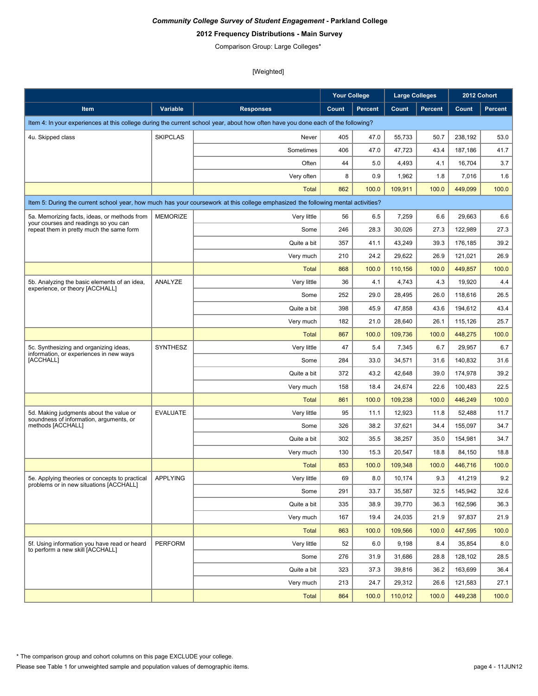# **2012 Frequency Distributions - Main Survey**

Comparison Group: Large Colleges\*

|                                                                                           |                 |                                                                                                                                  | <b>Your College</b> |                | <b>Large Colleges</b> |                | 2012 Cohort |                |
|-------------------------------------------------------------------------------------------|-----------------|----------------------------------------------------------------------------------------------------------------------------------|---------------------|----------------|-----------------------|----------------|-------------|----------------|
| Item                                                                                      | Variable        | <b>Responses</b>                                                                                                                 | Count               | <b>Percent</b> | Count                 | <b>Percent</b> | Count       | <b>Percent</b> |
|                                                                                           |                 | Item 4: In your experiences at this college during the current school year, about how often have you done each of the following? |                     |                |                       |                |             |                |
| 4u. Skipped class                                                                         | <b>SKIPCLAS</b> | Never                                                                                                                            | 405                 | 47.0           | 55,733                | 50.7           | 238,192     | 53.0           |
|                                                                                           |                 | Sometimes                                                                                                                        | 406                 | 47.0           | 47,723                | 43.4           | 187,186     | 41.7           |
|                                                                                           |                 | Often                                                                                                                            | 44                  | 5.0            | 4,493                 | 4.1            | 16,704      | 3.7            |
|                                                                                           |                 | Very often                                                                                                                       | 8                   | 0.9            | 1,962                 | 1.8            | 7,016       | 1.6            |
|                                                                                           |                 | Total                                                                                                                            | 862                 | 100.0          | 109,911               | 100.0          | 449,099     | 100.0          |
|                                                                                           |                 | Item 5: During the current school year, how much has your coursework at this college emphasized the following mental activities? |                     |                |                       |                |             |                |
| 5a. Memorizing facts, ideas, or methods from                                              | <b>MEMORIZE</b> | Very little                                                                                                                      | 56                  | 6.5            | 7,259                 | 6.6            | 29,663      | 6.6            |
| your courses and readings so you can<br>repeat them in pretty much the same form          |                 | Some                                                                                                                             | 246                 | 28.3           | 30,026                | 27.3           | 122,989     | 27.3           |
|                                                                                           |                 | Quite a bit                                                                                                                      | 357                 | 41.1           | 43,249                | 39.3           | 176,185     | 39.2           |
|                                                                                           |                 | Very much                                                                                                                        | 210                 | 24.2           | 29,622                | 26.9           | 121,021     | 26.9           |
|                                                                                           |                 | <b>Total</b>                                                                                                                     | 868                 | 100.0          | 110,156               | 100.0          | 449,857     | 100.0          |
| 5b. Analyzing the basic elements of an idea,                                              | ANALYZE         | Very little                                                                                                                      | 36                  | 4.1            | 4,743                 | 4.3            | 19,920      | 4.4            |
| experience, or theory [ACCHALL]                                                           |                 | Some                                                                                                                             | 252                 | 29.0           | 28,495                | 26.0           | 118,616     | 26.5           |
|                                                                                           |                 | Quite a bit                                                                                                                      | 398                 | 45.9           | 47,858                | 43.6           | 194,612     | 43.4           |
|                                                                                           |                 | Very much                                                                                                                        | 182                 | 21.0           | 28,640                | 26.1           | 115,126     | 25.7           |
|                                                                                           |                 | Total                                                                                                                            | 867                 | 100.0          | 109.736               | 100.0          | 448,275     | 100.0          |
| 5c. Synthesizing and organizing ideas,<br>information, or experiences in new ways         | SYNTHESZ        | Very little                                                                                                                      | 47                  | 5.4            | 7,345                 | 6.7            | 29,957      | 6.7            |
| [ACCHALL]                                                                                 |                 | Some                                                                                                                             | 284                 | 33.0           | 34,571                | 31.6           | 140,832     | 31.6           |
|                                                                                           |                 | Quite a bit                                                                                                                      | 372                 | 43.2           | 42,648                | 39.0           | 174,978     | 39.2           |
|                                                                                           |                 | Very much                                                                                                                        | 158                 | 18.4           | 24,674                | 22.6           | 100,483     | 22.5           |
|                                                                                           |                 | Total                                                                                                                            | 861                 | 100.0          | 109,238               | 100.0          | 446,249     | 100.0          |
| 5d. Making judgments about the value or<br>soundness of information, arguments, or        | <b>EVALUATE</b> | Very little                                                                                                                      | 95                  | 11.1           | 12,923                | 11.8           | 52,488      | 11.7           |
| methods [ACCHALL]                                                                         |                 | Some                                                                                                                             | 326                 | 38.2           | 37,621                | 34.4           | 155,097     | 34.7           |
|                                                                                           |                 | Quite a bit                                                                                                                      | 302                 | 35.5           | 38,257                | 35.0           | 154,981     | 34.7           |
|                                                                                           |                 | Very much                                                                                                                        | 130                 | 15.3           | 20,547                | 18.8           | 84,150      | 18.8           |
|                                                                                           |                 | <b>Total</b>                                                                                                                     | 853                 | 100.0          | 109,348               | 100.0          | 446,716     | 100.0          |
| 5e. Applying theories or concepts to practical<br>problems or in new situations [ACCHALL] | <b>APPLYING</b> | Very little                                                                                                                      | 69                  | 8.0            | 10,174                | 9.3            | 41,219      | 9.2            |
|                                                                                           |                 | Some                                                                                                                             | 291                 | 33.7           | 35,587                | 32.5           | 145,942     | 32.6           |
|                                                                                           |                 | Quite a bit                                                                                                                      | 335                 | 38.9           | 39,770                | 36.3           | 162,596     | 36.3           |
|                                                                                           |                 | Very much                                                                                                                        | 167                 | 19.4           | 24,035                | 21.9           | 97,837      | 21.9           |
|                                                                                           |                 | <b>Total</b>                                                                                                                     | 863                 | 100.0          | 109,566               | 100.0          | 447,595     | 100.0          |
| 5f. Using information you have read or heard<br>to perform a new skill [ACCHALL]          | <b>PERFORM</b>  | Very little                                                                                                                      | 52                  | 6.0            | 9,198                 | 8.4            | 35,854      | 8.0            |
|                                                                                           |                 | Some                                                                                                                             | 276                 | 31.9           | 31.686                | 28.8           | 128,102     | 28.5           |
|                                                                                           |                 | Quite a bit                                                                                                                      | 323                 | 37.3           | 39,816                | 36.2           | 163,699     | 36.4           |
|                                                                                           |                 | Very much                                                                                                                        | 213                 | 24.7           | 29,312                | 26.6           | 121,583     | 27.1           |
|                                                                                           |                 | <b>Total</b>                                                                                                                     | 864                 | 100.0          | 110,012               | 100.0          | 449,238     | 100.0          |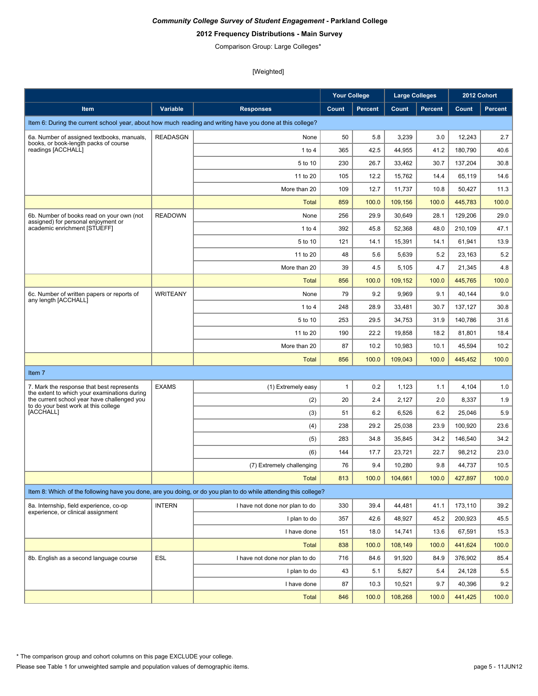# **2012 Frequency Distributions - Main Survey**

Comparison Group: Large Colleges\*

|                                                                                             |                 |                                                                                                                 | <b>Your College</b> |                | <b>Large Colleges</b> |                |         | 2012 Cohort    |
|---------------------------------------------------------------------------------------------|-----------------|-----------------------------------------------------------------------------------------------------------------|---------------------|----------------|-----------------------|----------------|---------|----------------|
| Item                                                                                        | Variable        | <b>Responses</b>                                                                                                | Count               | <b>Percent</b> | Count                 | <b>Percent</b> | Count   | <b>Percent</b> |
|                                                                                             |                 | Item 6: During the current school year, about how much reading and writing have you done at this college?       |                     |                |                       |                |         |                |
| 6a. Number of assigned textbooks, manuals,                                                  | <b>READASGN</b> | None                                                                                                            | 50                  | 5.8            | 3,239                 | 3.0            | 12,243  | 2.7            |
| books, or book-length packs of course<br>readings [ACCHALL]                                 |                 | 1 to 4                                                                                                          | 365                 | 42.5           | 44,955                | 41.2           | 180,790 | 40.6           |
|                                                                                             |                 | 5 to 10                                                                                                         | 230                 | 26.7           | 33,462                | 30.7           | 137,204 | 30.8           |
|                                                                                             |                 | 11 to 20                                                                                                        | 105                 | 12.2           | 15,762                | 14.4           | 65,119  | 14.6           |
|                                                                                             |                 | More than 20                                                                                                    | 109                 | 12.7           | 11.737                | 10.8           | 50,427  | 11.3           |
|                                                                                             |                 | Total                                                                                                           | 859                 | 100.0          | 109,156               | 100.0          | 445.783 | 100.0          |
| 6b. Number of books read on your own (not                                                   | <b>READOWN</b>  | None                                                                                                            | 256                 | 29.9           | 30,649                | 28.1           | 129,206 | 29.0           |
| assigned) for personal enjoyment or<br>academic enrichment [STUEFF]                         |                 | 1 to $4$                                                                                                        | 392                 | 45.8           | 52,368                | 48.0           | 210,109 | 47.1           |
|                                                                                             |                 | 5 to 10                                                                                                         | 121                 | 14.1           | 15,391                | 14.1           | 61,941  | 13.9           |
|                                                                                             |                 | 11 to 20                                                                                                        | 48                  | 5.6            | 5,639                 | 5.2            | 23,163  | 5.2            |
|                                                                                             |                 | More than 20                                                                                                    | 39                  | 4.5            | 5,105                 | 4.7            | 21,345  | 4.8            |
|                                                                                             |                 | <b>Total</b>                                                                                                    | 856                 | 100.0          | 109.152               | 100.0          | 445,765 | 100.0          |
| 6c. Number of written papers or reports of                                                  | <b>WRITEANY</b> | None                                                                                                            | 79                  | 9.2            | 9,969                 | 9.1            | 40,144  | 9.0            |
| any length [ACCHALL]                                                                        |                 | 1 to 4                                                                                                          | 248                 | 28.9           | 33,481                | 30.7           | 137.127 | 30.8           |
|                                                                                             |                 | 5 to 10                                                                                                         | 253                 | 29.5           | 34,753                | 31.9           | 140,786 | 31.6           |
|                                                                                             |                 | 11 to 20                                                                                                        | 190                 | 22.2           | 19,858                | 18.2           | 81,801  | 18.4           |
|                                                                                             |                 | More than 20                                                                                                    | 87                  | 10.2           | 10,983                | 10.1           | 45,594  | 10.2           |
|                                                                                             |                 | <b>Total</b>                                                                                                    | 856                 | 100.0          | 109,043               | 100.0          | 445,452 | 100.0          |
| Item 7                                                                                      |                 |                                                                                                                 |                     |                |                       |                |         |                |
| 7. Mark the response that best represents                                                   | <b>EXAMS</b>    | (1) Extremely easy                                                                                              | $\mathbf{1}$        | 0.2            | 1,123                 | 1.1            | 4,104   | 1.0            |
| the extent to which your examinations during<br>the current school year have challenged you |                 | (2)                                                                                                             | 20                  | 2.4            | 2,127                 | 2.0            | 8,337   | 1.9            |
| to do your best work at this college<br>[ACCHALL]                                           |                 | (3)                                                                                                             | 51                  | 6.2            | 6,526                 | 6.2            | 25,046  | 5.9            |
|                                                                                             |                 | (4)                                                                                                             | 238                 | 29.2           | 25,038                | 23.9           | 100,920 | 23.6           |
|                                                                                             |                 | (5)                                                                                                             | 283                 | 34.8           | 35,845                | 34.2           | 146,540 | 34.2           |
|                                                                                             |                 | (6)                                                                                                             | 144                 | 17.7           | 23,721                | 22.7           | 98,212  | 23.0           |
|                                                                                             |                 | (7) Extremely challenging                                                                                       | 76                  | 9.4            | 10,280                | 9.8            | 44,737  | 10.5           |
|                                                                                             |                 | <b>Total</b>                                                                                                    | 813                 | 100.0          | 104,661               | 100.0          | 427,897 | 100.0          |
|                                                                                             |                 | Item 8: Which of the following have you done, are you doing, or do you plan to do while attending this college? |                     |                |                       |                |         |                |
| 8a. Internship, field experience, co-op                                                     | <b>INTERN</b>   | I have not done nor plan to do                                                                                  | 330                 | 39.4           | 44,481                | 41.1           | 173,110 | 39.2           |
| experience, or clinical assignment                                                          |                 | I plan to do                                                                                                    | 357                 | 42.6           | 48,927                | 45.2           | 200,923 | 45.5           |
|                                                                                             |                 | I have done                                                                                                     | 151                 | 18.0           | 14,741                | 13.6           | 67,591  | 15.3           |
|                                                                                             |                 | <b>Total</b>                                                                                                    | 838                 | 100.0          | 108,149               | 100.0          | 441,624 | 100.0          |
| 8b. English as a second language course                                                     | ESL             | I have not done nor plan to do                                                                                  | 716                 | 84.6           | 91,920                | 84.9           | 376,902 | 85.4           |
|                                                                                             |                 | I plan to do                                                                                                    | 43                  | 5.1            | 5,827                 | 5.4            | 24,128  | 5.5            |
|                                                                                             |                 | I have done                                                                                                     | 87                  | 10.3           | 10,521                | 9.7            | 40,396  | 9.2            |
|                                                                                             |                 | <b>Total</b>                                                                                                    | 846                 | 100.0          | 108,268               | 100.0          | 441,425 | 100.0          |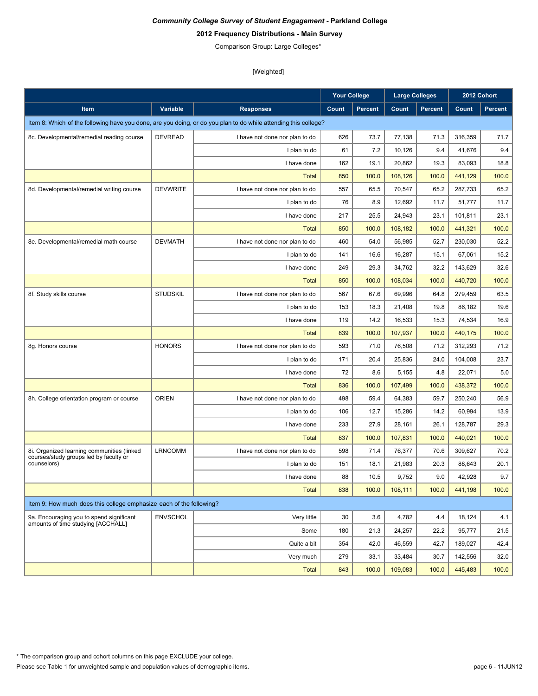# **2012 Frequency Distributions - Main Survey**

Comparison Group: Large Colleges\*

|                                                                     |                 |                                                                                                                 | <b>Your College</b> |                | <b>Large Colleges</b> |                | 2012 Cohort |         |
|---------------------------------------------------------------------|-----------------|-----------------------------------------------------------------------------------------------------------------|---------------------|----------------|-----------------------|----------------|-------------|---------|
| Item                                                                | Variable        | <b>Responses</b>                                                                                                | Count               | <b>Percent</b> | Count                 | <b>Percent</b> | Count       | Percent |
|                                                                     |                 | Item 8: Which of the following have you done, are you doing, or do you plan to do while attending this college? |                     |                |                       |                |             |         |
| 8c. Developmental/remedial reading course                           | <b>DEVREAD</b>  | I have not done nor plan to do                                                                                  | 626                 | 73.7           | 77,138                | 71.3           | 316,359     | 71.7    |
|                                                                     |                 | I plan to do                                                                                                    | 61                  | 7.2            | 10,126                | 9.4            | 41,676      | 9.4     |
|                                                                     |                 | I have done                                                                                                     | 162                 | 19.1           | 20,862                | 19.3           | 83,093      | 18.8    |
|                                                                     |                 | <b>Total</b>                                                                                                    | 850                 | 100.0          | 108,126               | 100.0          | 441,129     | 100.0   |
| 8d. Developmental/remedial writing course                           | <b>DEVWRITE</b> | I have not done nor plan to do                                                                                  | 557                 | 65.5           | 70,547                | 65.2           | 287.733     | 65.2    |
|                                                                     |                 | I plan to do                                                                                                    | 76                  | 8.9            | 12,692                | 11.7           | 51,777      | 11.7    |
|                                                                     |                 | I have done                                                                                                     | 217                 | 25.5           | 24,943                | 23.1           | 101,811     | 23.1    |
|                                                                     |                 | <b>Total</b>                                                                                                    | 850                 | 100.0          | 108,182               | 100.0          | 441,321     | 100.0   |
| 8e. Developmental/remedial math course                              | <b>DEVMATH</b>  | I have not done nor plan to do                                                                                  | 460                 | 54.0           | 56,985                | 52.7           | 230,030     | 52.2    |
|                                                                     |                 | I plan to do                                                                                                    | 141                 | 16.6           | 16,287                | 15.1           | 67,061      | 15.2    |
|                                                                     |                 | I have done                                                                                                     | 249                 | 29.3           | 34,762                | 32.2           | 143,629     | 32.6    |
|                                                                     |                 | <b>Total</b>                                                                                                    | 850                 | 100.0          | 108,034               | 100.0          | 440,720     | 100.0   |
| 8f. Study skills course                                             | <b>STUDSKIL</b> | I have not done nor plan to do                                                                                  | 567                 | 67.6           | 69,996                | 64.8           | 279,459     | 63.5    |
|                                                                     |                 | I plan to do                                                                                                    | 153                 | 18.3           | 21,408                | 19.8           | 86.182      | 19.6    |
|                                                                     |                 | I have done                                                                                                     | 119                 | 14.2           | 16,533                | 15.3           | 74,534      | 16.9    |
|                                                                     |                 | <b>Total</b>                                                                                                    | 839                 | 100.0          | 107,937               | 100.0          | 440,175     | 100.0   |
| 8g. Honors course                                                   | <b>HONORS</b>   | I have not done nor plan to do                                                                                  | 593                 | 71.0           | 76,508                | 71.2           | 312,293     | 71.2    |
|                                                                     |                 | I plan to do                                                                                                    | 171                 | 20.4           | 25,836                | 24.0           | 104,008     | 23.7    |
|                                                                     |                 | I have done                                                                                                     | 72                  | 8.6            | 5,155                 | 4.8            | 22,071      | 5.0     |
|                                                                     |                 | <b>Total</b>                                                                                                    | 836                 | 100.0          | 107,499               | 100.0          | 438,372     | 100.0   |
| 8h. College orientation program or course                           | <b>ORIEN</b>    | I have not done nor plan to do                                                                                  | 498                 | 59.4           | 64,383                | 59.7           | 250,240     | 56.9    |
|                                                                     |                 | I plan to do                                                                                                    | 106                 | 12.7           | 15,286                | 14.2           | 60,994      | 13.9    |
|                                                                     |                 | I have done                                                                                                     | 233                 | 27.9           | 28,161                | 26.1           | 128,787     | 29.3    |
|                                                                     |                 | <b>Total</b>                                                                                                    | 837                 | 100.0          | 107,831               | 100.0          | 440,021     | 100.0   |
| 8i. Organized learning communities (linked                          | <b>LRNCOMM</b>  | I have not done nor plan to do                                                                                  | 598                 | 71.4           | 76,377                | 70.6           | 309,627     | 70.2    |
| courses/study groups led by faculty or<br>counselors)               |                 | I plan to do                                                                                                    | 151                 | 18.1           | 21,983                | 20.3           | 88,643      | 20.1    |
|                                                                     |                 | I have done                                                                                                     | 88                  | 10.5           | 9,752                 | 9.0            | 42,928      | 9.7     |
|                                                                     |                 | <b>Total</b>                                                                                                    | 838                 | 100.0          | 108,111               | 100.0          | 441,198     | 100.0   |
| Item 9: How much does this college emphasize each of the following? |                 |                                                                                                                 |                     |                |                       |                |             |         |
| 9a. Encouraging you to spend significant                            | <b>ENVSCHOL</b> | Very little                                                                                                     | 30                  | 3.6            | 4,782                 | 4.4            | 18.124      | 4.1     |
| amounts of time studying [ACCHALL]                                  |                 | Some                                                                                                            | 180                 | 21.3           | 24,257                | 22.2           | 95,777      | 21.5    |
|                                                                     |                 | Quite a bit                                                                                                     | 354                 | 42.0           | 46,559                | 42.7           | 189,027     | 42.4    |
|                                                                     |                 | Very much                                                                                                       | 279                 | 33.1           | 33,484                | 30.7           | 142,556     | 32.0    |
|                                                                     |                 | <b>Total</b>                                                                                                    | 843                 | 100.0          | 109,083               | 100.0          | 445,483     | 100.0   |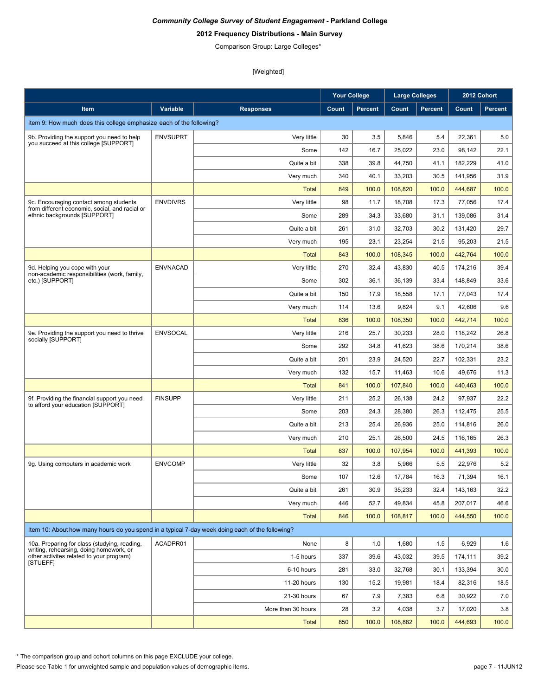# **2012 Frequency Distributions - Main Survey**

Comparison Group: Large Colleges\*

[Weighted]

|                                                                                                 |                 |                    | <b>Your College</b> |                | <b>Large Colleges</b> |                |         | 2012 Cohort    |
|-------------------------------------------------------------------------------------------------|-----------------|--------------------|---------------------|----------------|-----------------------|----------------|---------|----------------|
| Item                                                                                            | Variable        | <b>Responses</b>   | Count               | <b>Percent</b> | Count                 | <b>Percent</b> | Count   | <b>Percent</b> |
| Item 9: How much does this college emphasize each of the following?                             |                 |                    |                     |                |                       |                |         |                |
| 9b. Providing the support you need to help                                                      | <b>ENVSUPRT</b> | Very little        | 30                  | 3.5            | 5,846                 | 5.4            | 22,361  | 5.0            |
| you succeed at this college [SUPPORT]                                                           |                 | Some               | 142                 | 16.7           | 25,022                | 23.0           | 98.142  | 22.1           |
|                                                                                                 |                 | Quite a bit        | 338                 | 39.8           | 44,750                | 41.1           | 182,229 | 41.0           |
|                                                                                                 |                 | Very much          | 340                 | 40.1           | 33,203                | 30.5           | 141,956 | 31.9           |
|                                                                                                 |                 | <b>Total</b>       | 849                 | 100.0          | 108,820               | 100.0          | 444,687 | 100.0          |
| 9c. Encouraging contact among students                                                          | <b>ENVDIVRS</b> | Very little        | 98                  | 11.7           | 18,708                | 17.3           | 77,056  | 17.4           |
| from different economic, social, and racial or<br>ethnic backgrounds [SUPPORT]                  |                 | Some               | 289                 | 34.3           | 33,680                | 31.1           | 139,086 | 31.4           |
|                                                                                                 |                 | Quite a bit        | 261                 | 31.0           | 32,703                | 30.2           | 131,420 | 29.7           |
|                                                                                                 |                 | Very much          | 195                 | 23.1           | 23,254                | 21.5           | 95,203  | 21.5           |
|                                                                                                 |                 | <b>Total</b>       | 843                 | 100.0          | 108,345               | 100.0          | 442,764 | 100.0          |
| 9d. Helping you cope with your<br>non-academic responsibilities (work, family,                  | <b>ENVNACAD</b> | Very little        | 270                 | 32.4           | 43,830                | 40.5           | 174,216 | 39.4           |
| etc.) [SUPPORT]                                                                                 |                 | Some               | 302                 | 36.1           | 36,139                | 33.4           | 148.849 | 33.6           |
|                                                                                                 |                 | Quite a bit        | 150                 | 17.9           | 18,558                | 17.1           | 77,043  | 17.4           |
|                                                                                                 |                 | Very much          | 114                 | 13.6           | 9,824                 | 9.1            | 42,606  | 9.6            |
|                                                                                                 |                 | <b>Total</b>       | 836                 | 100.0          | 108,350               | 100.0          | 442,714 | 100.0          |
| 9e. Providing the support you need to thrive<br>socially [SUPPORT]                              | <b>ENVSOCAL</b> | Very little        | 216                 | 25.7           | 30,233                | 28.0           | 118,242 | 26.8           |
|                                                                                                 |                 | Some               | 292                 | 34.8           | 41,623                | 38.6           | 170,214 | 38.6           |
|                                                                                                 |                 | Quite a bit        | 201                 | 23.9           | 24,520                | 22.7           | 102,331 | 23.2           |
|                                                                                                 |                 | Very much          | 132                 | 15.7           | 11,463                | 10.6           | 49,676  | 11.3           |
|                                                                                                 |                 | Total              | 841                 | 100.0          | 107,840               | 100.0          | 440,463 | 100.0          |
| 9f. Providing the financial support you need<br>to afford your education [SUPPORT]              | <b>FINSUPP</b>  | Very little        | 211                 | 25.2           | 26,138                | 24.2           | 97,937  | 22.2           |
|                                                                                                 |                 | Some               | 203                 | 24.3           | 28,380                | 26.3           | 112,475 | 25.5           |
|                                                                                                 |                 | Quite a bit        | 213                 | 25.4           | 26,936                | 25.0           | 114,816 | 26.0           |
|                                                                                                 |                 | Very much          | 210                 | 25.1           | 26,500                | 24.5           | 116,165 | 26.3           |
|                                                                                                 |                 | <b>Total</b>       | 837                 | 100.0          | 107,954               | 100.0          | 441,393 | 100.0          |
| 9q. Using computers in academic work                                                            | <b>ENVCOMP</b>  | Very little        | 32                  | 3.8            | 5,966                 | 5.5            | 22,976  | 5.2            |
|                                                                                                 |                 | Some               | 107                 | 12.6           | 17,784                | 16.3           | 71,394  | 16.1           |
|                                                                                                 |                 | Quite a bit        | 261                 | 30.9           | 35,233                | 32.4           | 143,163 | 32.2           |
|                                                                                                 |                 | Very much          | 446                 | 52.7           | 49,834                | 45.8           | 207,017 | 46.6           |
|                                                                                                 |                 | <b>Total</b>       | 846                 | 100.0          | 108,817               | 100.0          | 444,550 | 100.0          |
| Item 10: About how many hours do you spend in a typical 7-day week doing each of the following? |                 |                    |                     |                |                       |                |         |                |
| 10a. Preparing for class (studying, reading,<br>writing, rehearsing, doing homework, or         | ACADPR01        | None               | 8                   | 1.0            | 1,680                 | 1.5            | 6,929   | 1.6            |
| other activites related to your program)<br>[STUEFF]                                            |                 | 1-5 hours          | 337                 | 39.6           | 43,032                | 39.5           | 174,111 | 39.2           |
|                                                                                                 |                 | 6-10 hours         | 281                 | 33.0           | 32,768                | 30.1           | 133,394 | 30.0           |
|                                                                                                 |                 | 11-20 hours        | 130                 | 15.2           | 19,981                | 18.4           | 82,316  | 18.5           |
|                                                                                                 |                 | 21-30 hours        | 67                  | 7.9            | 7,383                 | 6.8            | 30,922  | 7.0            |
|                                                                                                 |                 | More than 30 hours | 28                  | 3.2            | 4,038                 | 3.7            | 17,020  | 3.8            |
|                                                                                                 |                 | <b>Total</b>       | 850                 | 100.0          | 108,882               | 100.0          | 444,693 | 100.0          |

\* The comparison group and cohort columns on this page EXCLUDE your college.

Please see Table 1 for unweighted sample and population values of demographic items.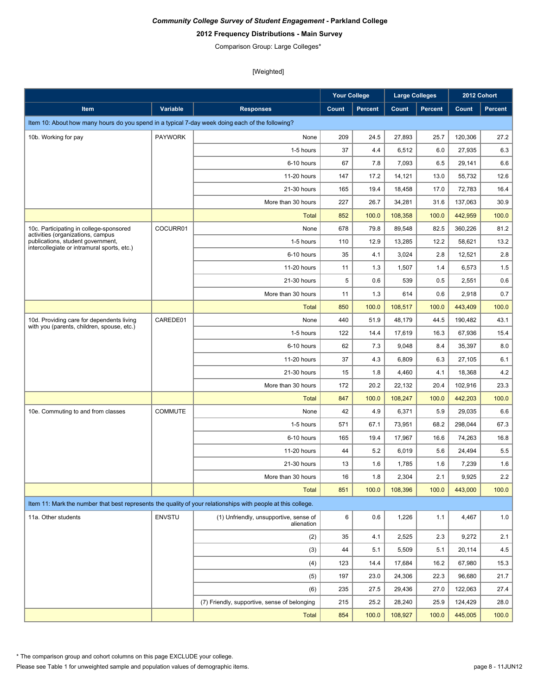# **2012 Frequency Distributions - Main Survey**

Comparison Group: Large Colleges\*

|                                                                                                                       |                |                                                      | <b>Your College</b> |                | Large Colleges |                |         | 2012 Cohort |
|-----------------------------------------------------------------------------------------------------------------------|----------------|------------------------------------------------------|---------------------|----------------|----------------|----------------|---------|-------------|
| <b>Item</b>                                                                                                           | Variable       | <b>Responses</b>                                     | Count               | <b>Percent</b> | Count          | <b>Percent</b> | Count   | Percent     |
| Item 10: About how many hours do you spend in a typical 7-day week doing each of the following?                       |                |                                                      |                     |                |                |                |         |             |
| 10b. Working for pay                                                                                                  | <b>PAYWORK</b> | None                                                 | 209                 | 24.5           | 27,893         | 25.7           | 120,306 | 27.2        |
|                                                                                                                       |                | 1-5 hours                                            | 37                  | 4.4            | 6,512          | 6.0            | 27,935  | 6.3         |
|                                                                                                                       |                | 6-10 hours                                           | 67                  | 7.8            | 7,093          | 6.5            | 29,141  | 6.6         |
|                                                                                                                       |                | 11-20 hours                                          | 147                 | 17.2           | 14,121         | 13.0           | 55,732  | 12.6        |
|                                                                                                                       |                | 21-30 hours                                          | 165                 | 19.4           | 18,458         | 17.0           | 72,783  | 16.4        |
|                                                                                                                       |                | More than 30 hours                                   | 227                 | 26.7           | 34,281         | 31.6           | 137,063 | 30.9        |
|                                                                                                                       |                | <b>Total</b>                                         | 852                 | 100.0          | 108,358        | 100.0          | 442,959 | 100.0       |
| 10c. Participating in college-sponsored                                                                               | COCURR01       | None                                                 | 678                 | 79.8           | 89,548         | 82.5           | 360,226 | 81.2        |
| activities (organizations, campus<br>publications, student government,<br>intercollegiate or intramural sports, etc.) |                | 1-5 hours                                            | 110                 | 12.9           | 13,285         | 12.2           | 58,621  | 13.2        |
|                                                                                                                       |                | 6-10 hours                                           | 35                  | 4.1            | 3,024          | 2.8            | 12,521  | 2.8         |
|                                                                                                                       |                | 11-20 hours                                          | 11                  | 1.3            | 1,507          | 1.4            | 6,573   | 1.5         |
|                                                                                                                       |                | 21-30 hours                                          | 5                   | 0.6            | 539            | 0.5            | 2,551   | 0.6         |
|                                                                                                                       |                | More than 30 hours                                   | 11                  | 1.3            | 614            | 0.6            | 2,918   | 0.7         |
|                                                                                                                       |                | <b>Total</b>                                         | 850                 | 100.0          | 108,517        | 100.0          | 443,409 | 100.0       |
| 10d. Providing care for dependents living                                                                             | CAREDE01       | None                                                 | 440                 | 51.9           | 48,179         | 44.5           | 190,482 | 43.1        |
| with you (parents, children, spouse, etc.)                                                                            |                | 1-5 hours                                            | 122                 | 14.4           | 17,619         | 16.3           | 67,936  | 15.4        |
|                                                                                                                       |                | 6-10 hours                                           | 62                  | 7.3            | 9,048          | 8.4            | 35,397  | 8.0         |
|                                                                                                                       |                | 11-20 hours                                          | 37                  | 4.3            | 6,809          | 6.3            | 27,105  | 6.1         |
|                                                                                                                       |                | 21-30 hours                                          | 15                  | 1.8            | 4,460          | 4.1            | 18,368  | 4.2         |
|                                                                                                                       |                | More than 30 hours                                   | 172                 | 20.2           | 22,132         | 20.4           | 102,916 | 23.3        |
|                                                                                                                       |                | <b>Total</b>                                         | 847                 | 100.0          | 108,247        | 100.0          | 442,203 | 100.0       |
| 10e. Commuting to and from classes                                                                                    | <b>COMMUTE</b> | None                                                 | 42                  | 4.9            | 6,371          | 5.9            | 29,035  | 6.6         |
|                                                                                                                       |                | 1-5 hours                                            | 571                 | 67.1           | 73,951         | 68.2           | 298,044 | 67.3        |
|                                                                                                                       |                | 6-10 hours                                           | 165                 | 19.4           | 17,967         | 16.6           | 74,263  | 16.8        |
|                                                                                                                       |                | 11-20 hours                                          | 44                  | 5.2            | 6,019          | 5.6            | 24,494  | 5.5         |
|                                                                                                                       |                | 21-30 hours                                          | 13                  | 1.6            | 1,785          | 1.6            | 7,239   | 1.6         |
|                                                                                                                       |                | More than 30 hours                                   | 16                  | 1.8            | 2,304          | 2.1            | 9,925   | 2.2         |
|                                                                                                                       |                | <b>Total</b>                                         | 851                 | 100.0          | 108,396        | 100.0          | 443,000 | 100.0       |
| Item 11: Mark the number that best represents the quality of your relationships with people at this college.          |                |                                                      |                     |                |                |                |         |             |
| 11a. Other students                                                                                                   | ENVSTU         | (1) Unfriendly, unsupportive, sense of<br>alienation | 6                   | 0.6            | 1,226          | 1.1            | 4,467   | 1.0         |
|                                                                                                                       |                | (2)                                                  | 35                  | 4.1            | 2,525          | 2.3            | 9,272   | 2.1         |
|                                                                                                                       |                | (3)                                                  | 44                  | 5.1            | 5,509          | 5.1            | 20,114  | 4.5         |
|                                                                                                                       |                | (4)                                                  | 123                 | 14.4           | 17,684         | 16.2           | 67,980  | 15.3        |
|                                                                                                                       |                | (5)                                                  | 197                 | 23.0           | 24,306         | 22.3           | 96,680  | 21.7        |
|                                                                                                                       |                | (6)                                                  | 235                 | 27.5           | 29,436         | 27.0           | 122,063 | 27.4        |
|                                                                                                                       |                | (7) Friendly, supportive, sense of belonging         | 215                 | 25.2           | 28,240         | 25.9           | 124,429 | 28.0        |
|                                                                                                                       |                | <b>Total</b>                                         | 854                 | 100.0          | 108,927        | 100.0          | 445,005 | 100.0       |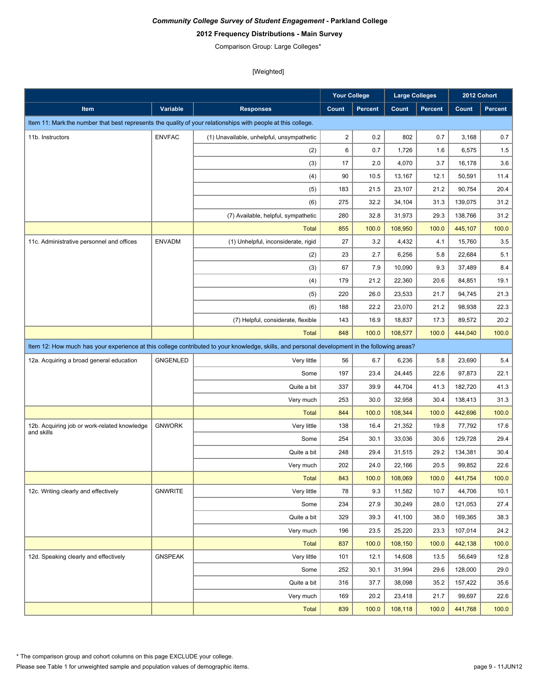# **2012 Frequency Distributions - Main Survey**

Comparison Group: Large Colleges\*

|                                                                                                                                               |                 |                                           | <b>Your College</b> |         | <b>Large Colleges</b> |         |         | 2012 Cohort    |
|-----------------------------------------------------------------------------------------------------------------------------------------------|-----------------|-------------------------------------------|---------------------|---------|-----------------------|---------|---------|----------------|
| Item                                                                                                                                          | <b>Variable</b> | <b>Responses</b>                          | Count               | Percent | Count                 | Percent | Count   | <b>Percent</b> |
| Item 11: Mark the number that best represents the quality of your relationships with people at this college.                                  |                 |                                           |                     |         |                       |         |         |                |
| 11b. Instructors                                                                                                                              | <b>ENVFAC</b>   | (1) Unavailable, unhelpful, unsympathetic | $\sqrt{2}$          | 0.2     | 802                   | 0.7     | 3,168   | 0.7            |
|                                                                                                                                               |                 | (2)                                       | 6                   | 0.7     | 1,726                 | 1.6     | 6,575   | 1.5            |
|                                                                                                                                               |                 | (3)                                       | 17                  | 2.0     | 4,070                 | 3.7     | 16,178  | 3.6            |
|                                                                                                                                               |                 | (4)                                       | 90                  | 10.5    | 13,167                | 12.1    | 50,591  | 11.4           |
|                                                                                                                                               |                 | (5)                                       | 183                 | 21.5    | 23,107                | 21.2    | 90,754  | 20.4           |
|                                                                                                                                               |                 | (6)                                       | 275                 | 32.2    | 34,104                | 31.3    | 139,075 | 31.2           |
|                                                                                                                                               |                 | (7) Available, helpful, sympathetic       | 280                 | 32.8    | 31,973                | 29.3    | 138,766 | 31.2           |
|                                                                                                                                               |                 | <b>Total</b>                              | 855                 | 100.0   | 108,950               | 100.0   | 445,107 | 100.0          |
| 11c. Administrative personnel and offices                                                                                                     | <b>ENVADM</b>   | (1) Unhelpful, inconsiderate, rigid       | 27                  | 3.2     | 4,432                 | 4.1     | 15,760  | 3.5            |
|                                                                                                                                               |                 | (2)                                       | 23                  | 2.7     | 6,256                 | 5.8     | 22,684  | 5.1            |
|                                                                                                                                               |                 | (3)                                       | 67                  | 7.9     | 10,090                | 9.3     | 37,489  | 8.4            |
|                                                                                                                                               |                 | (4)                                       | 179                 | 21.2    | 22,360                | 20.6    | 84,851  | 19.1           |
|                                                                                                                                               |                 | (5)                                       | 220                 | 26.0    | 23,533                | 21.7    | 94,745  | 21.3           |
|                                                                                                                                               |                 | (6)                                       | 188                 | 22.2    | 23,070                | 21.2    | 98,938  | 22.3           |
|                                                                                                                                               |                 | (7) Helpful, considerate, flexible        | 143                 | 16.9    | 18,837                | 17.3    | 89,572  | 20.2           |
|                                                                                                                                               |                 | <b>Total</b>                              | 848                 | 100.0   | 108.577               | 100.0   | 444,040 | 100.0          |
| Item 12: How much has your experience at this college contributed to your knowledge, skills, and personal development in the following areas? |                 |                                           |                     |         |                       |         |         |                |
| 12a. Acquiring a broad general education                                                                                                      | <b>GNGENLED</b> | Very little                               | 56                  | 6.7     | 6,236                 | 5.8     | 23,690  | 5.4            |
|                                                                                                                                               |                 | Some                                      | 197                 | 23.4    | 24,445                | 22.6    | 97,873  | 22.1           |
|                                                                                                                                               |                 | Quite a bit                               | 337                 | 39.9    | 44,704                | 41.3    | 182,720 | 41.3           |
|                                                                                                                                               |                 | Very much                                 | 253                 | 30.0    | 32,958                | 30.4    | 138,413 | 31.3           |
|                                                                                                                                               |                 | <b>Total</b>                              | 844                 | 100.0   | 108,344               | 100.0   | 442,696 | 100.0          |
| 12b. Acquiring job or work-related knowledge                                                                                                  | <b>GNWORK</b>   | Very little                               | 138                 | 16.4    | 21,352                | 19.8    | 77,792  | 17.6           |
| and skills                                                                                                                                    |                 | Some                                      | 254                 | 30.1    | 33,036                | 30.6    | 129,728 | 29.4           |
|                                                                                                                                               |                 | Quite a bit                               | 248                 | 29.4    | 31,515                | 29.2    | 134,381 | 30.4           |
|                                                                                                                                               |                 | Very much                                 | 202                 | 24.0    | 22,166                | 20.5    | 99,852  | 22.6           |
|                                                                                                                                               |                 | <b>Total</b>                              | 843                 | 100.0   | 108,069               | 100.0   | 441,754 | 100.0          |
| 12c. Writing clearly and effectively                                                                                                          | <b>GNWRITE</b>  | Very little                               | 78                  | 9.3     | 11,582                | 10.7    | 44,706  | 10.1           |
|                                                                                                                                               |                 | Some                                      | 234                 | 27.9    | 30,249                | 28.0    | 121,053 | 27.4           |
|                                                                                                                                               |                 | Quite a bit                               | 329                 | 39.3    | 41,100                | 38.0    | 169,365 | 38.3           |
|                                                                                                                                               |                 | Very much                                 | 196                 | 23.5    | 25,220                | 23.3    | 107,014 | 24.2           |
|                                                                                                                                               |                 | <b>Total</b>                              | 837                 | 100.0   | 108,150               | 100.0   | 442,138 | 100.0          |
| 12d. Speaking clearly and effectively                                                                                                         | <b>GNSPEAK</b>  | Very little                               | 101                 | 12.1    | 14,608                | 13.5    | 56,649  | 12.8           |
|                                                                                                                                               |                 | Some                                      | 252                 | 30.1    | 31,994                | 29.6    | 128,000 | 29.0           |
|                                                                                                                                               |                 | Quite a bit                               | 316                 | 37.7    | 38,098                | 35.2    | 157,422 | 35.6           |
|                                                                                                                                               |                 | Very much                                 | 169                 | 20.2    | 23,418                | 21.7    | 99,697  | 22.6           |
|                                                                                                                                               |                 | <b>Total</b>                              | 839                 | 100.0   | 108,118               | 100.0   | 441,768 | 100.0          |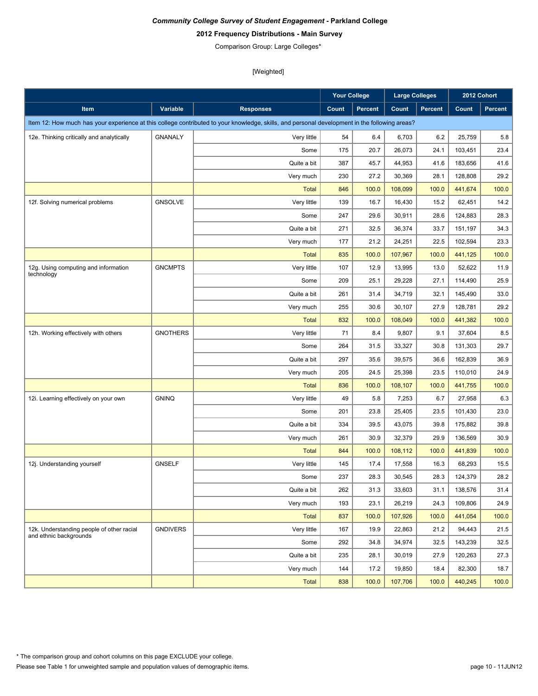# **2012 Frequency Distributions - Main Survey**

Comparison Group: Large Colleges\*

|                                                                     |                 |                                                                                                                                               | <b>Your College</b> |                | <b>Large Colleges</b> |                |         | 2012 Cohort |
|---------------------------------------------------------------------|-----------------|-----------------------------------------------------------------------------------------------------------------------------------------------|---------------------|----------------|-----------------------|----------------|---------|-------------|
| Item                                                                | Variable        | <b>Responses</b>                                                                                                                              | Count               | <b>Percent</b> | Count                 | <b>Percent</b> | Count   | Percent     |
|                                                                     |                 | Item 12: How much has your experience at this college contributed to your knowledge, skills, and personal development in the following areas? |                     |                |                       |                |         |             |
| 12e. Thinking critically and analytically                           | <b>GNANALY</b>  | Very little                                                                                                                                   | 54                  | 6.4            | 6,703                 | 6.2            | 25,759  | 5.8         |
|                                                                     |                 | Some                                                                                                                                          | 175                 | 20.7           | 26,073                | 24.1           | 103,451 | 23.4        |
|                                                                     |                 | Quite a bit                                                                                                                                   | 387                 | 45.7           | 44,953                | 41.6           | 183,656 | 41.6        |
|                                                                     |                 | Very much                                                                                                                                     | 230                 | 27.2           | 30,369                | 28.1           | 128,808 | 29.2        |
|                                                                     |                 | <b>Total</b>                                                                                                                                  | 846                 | 100.0          | 108,099               | 100.0          | 441,674 | 100.0       |
| 12f. Solving numerical problems                                     | <b>GNSOLVE</b>  | Very little                                                                                                                                   | 139                 | 16.7           | 16,430                | 15.2           | 62,451  | 14.2        |
|                                                                     |                 | Some                                                                                                                                          | 247                 | 29.6           | 30,911                | 28.6           | 124,883 | 28.3        |
|                                                                     |                 | Quite a bit                                                                                                                                   | 271                 | 32.5           | 36,374                | 33.7           | 151,197 | 34.3        |
|                                                                     |                 | Very much                                                                                                                                     | 177                 | 21.2           | 24,251                | 22.5           | 102,594 | 23.3        |
|                                                                     |                 | <b>Total</b>                                                                                                                                  | 835                 | 100.0          | 107,967               | 100.0          | 441,125 | 100.0       |
| 12g. Using computing and information<br>technology                  | <b>GNCMPTS</b>  | Very little                                                                                                                                   | 107                 | 12.9           | 13,995                | 13.0           | 52,622  | 11.9        |
|                                                                     |                 | Some                                                                                                                                          | 209                 | 25.1           | 29,228                | 27.1           | 114,490 | 25.9        |
|                                                                     |                 | Quite a bit                                                                                                                                   | 261                 | 31.4           | 34,719                | 32.1           | 145,490 | 33.0        |
|                                                                     |                 | Very much                                                                                                                                     | 255                 | 30.6           | 30,107                | 27.9           | 128,781 | 29.2        |
|                                                                     |                 | <b>Total</b>                                                                                                                                  | 832                 | 100.0          | 108,049               | 100.0          | 441,382 | 100.0       |
| 12h. Working effectively with others                                | <b>GNOTHERS</b> | Very little                                                                                                                                   | 71                  | 8.4            | 9,807                 | 9.1            | 37,604  | 8.5         |
|                                                                     |                 | Some                                                                                                                                          | 264                 | 31.5           | 33,327                | 30.8           | 131,303 | 29.7        |
|                                                                     |                 | Quite a bit                                                                                                                                   | 297                 | 35.6           | 39,575                | 36.6           | 162,839 | 36.9        |
|                                                                     |                 | Very much                                                                                                                                     | 205                 | 24.5           | 25,398                | 23.5           | 110,010 | 24.9        |
|                                                                     |                 | <b>Total</b>                                                                                                                                  | 836                 | 100.0          | 108,107               | 100.0          | 441,755 | 100.0       |
| 12i. Learning effectively on your own                               | <b>GNINQ</b>    | Very little                                                                                                                                   | 49                  | 5.8            | 7,253                 | 6.7            | 27,958  | 6.3         |
|                                                                     |                 | Some                                                                                                                                          | 201                 | 23.8           | 25,405                | 23.5           | 101,430 | 23.0        |
|                                                                     |                 | Quite a bit                                                                                                                                   | 334                 | 39.5           | 43,075                | 39.8           | 175,882 | 39.8        |
|                                                                     |                 | Very much                                                                                                                                     | 261                 | 30.9           | 32,379                | 29.9           | 136,569 | 30.9        |
|                                                                     |                 | <b>Total</b>                                                                                                                                  | 844                 | 100.0          | 108,112               | 100.0          | 441,839 | 100.0       |
| 12j. Understanding yourself                                         | <b>GNSELF</b>   | Very little                                                                                                                                   | 145                 | 17.4           | 17,558                | 16.3           | 68,293  | 15.5        |
|                                                                     |                 | Some                                                                                                                                          | 237                 | 28.3           | 30,545                | 28.3           | 124,379 | 28.2        |
|                                                                     |                 | Quite a bit                                                                                                                                   | 262                 | 31.3           | 33,603                | 31.1           | 138,576 | 31.4        |
|                                                                     |                 | Very much                                                                                                                                     | 193                 | 23.1           | 26,219                | 24.3           | 109,806 | 24.9        |
|                                                                     |                 | <b>Total</b>                                                                                                                                  | 837                 | 100.0          | 107,926               | 100.0          | 441,054 | 100.0       |
| 12k. Understanding people of other racial<br>and ethnic backgrounds | <b>GNDIVERS</b> | Very little                                                                                                                                   | 167                 | 19.9           | 22,863                | 21.2           | 94,443  | 21.5        |
|                                                                     |                 | Some                                                                                                                                          | 292                 | 34.8           | 34,974                | 32.5           | 143,239 | 32.5        |
|                                                                     |                 | Quite a bit                                                                                                                                   | 235                 | 28.1           | 30,019                | 27.9           | 120,263 | 27.3        |
|                                                                     |                 | Very much                                                                                                                                     | 144                 | 17.2           | 19,850                | 18.4           | 82,300  | 18.7        |
|                                                                     |                 | <b>Total</b>                                                                                                                                  | 838                 | 100.0          | 107,706               | 100.0          | 440,245 | 100.0       |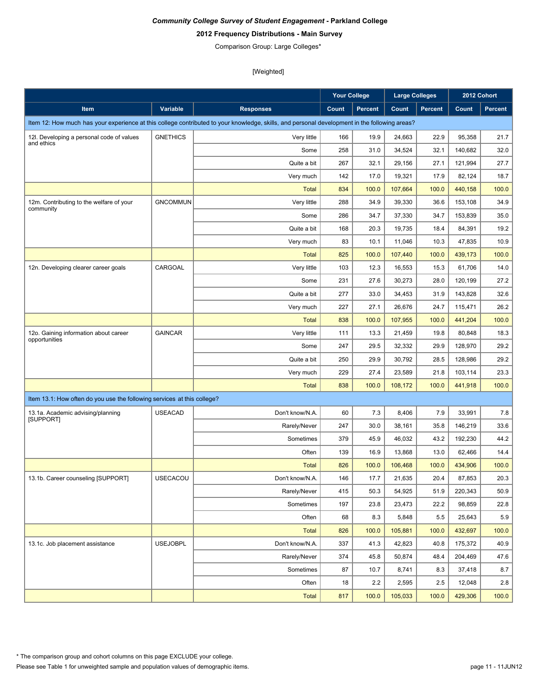# **2012 Frequency Distributions - Main Survey**

Comparison Group: Large Colleges\*

|                                                                         |                 |                                                                                                                                               | <b>Your College</b> |                | <b>Large Colleges</b> |                |         | 2012 Cohort    |
|-------------------------------------------------------------------------|-----------------|-----------------------------------------------------------------------------------------------------------------------------------------------|---------------------|----------------|-----------------------|----------------|---------|----------------|
| Item                                                                    | Variable        | <b>Responses</b>                                                                                                                              | Count               | <b>Percent</b> | Count                 | <b>Percent</b> | Count   | <b>Percent</b> |
|                                                                         |                 | Item 12: How much has your experience at this college contributed to your knowledge, skills, and personal development in the following areas? |                     |                |                       |                |         |                |
| 12I. Developing a personal code of values                               | <b>GNETHICS</b> | Very little                                                                                                                                   | 166                 | 19.9           | 24,663                | 22.9           | 95,358  | 21.7           |
| and ethics                                                              |                 | Some                                                                                                                                          | 258                 | 31.0           | 34,524                | 32.1           | 140,682 | 32.0           |
|                                                                         |                 | Quite a bit                                                                                                                                   | 267                 | 32.1           | 29,156                | 27.1           | 121,994 | 27.7           |
|                                                                         |                 | Very much                                                                                                                                     | 142                 | 17.0           | 19,321                | 17.9           | 82,124  | 18.7           |
|                                                                         |                 | <b>Total</b>                                                                                                                                  | 834                 | 100.0          | 107,664               | 100.0          | 440,158 | 100.0          |
| 12m. Contributing to the welfare of your                                | <b>GNCOMMUN</b> | Very little                                                                                                                                   | 288                 | 34.9           | 39,330                | 36.6           | 153,108 | 34.9           |
| community                                                               |                 | Some                                                                                                                                          | 286                 | 34.7           | 37,330                | 34.7           | 153,839 | 35.0           |
|                                                                         |                 | Quite a bit                                                                                                                                   | 168                 | 20.3           | 19,735                | 18.4           | 84,391  | 19.2           |
|                                                                         |                 | Very much                                                                                                                                     | 83                  | 10.1           | 11,046                | 10.3           | 47,835  | 10.9           |
|                                                                         |                 | <b>Total</b>                                                                                                                                  | 825                 | 100.0          | 107,440               | 100.0          | 439,173 | 100.0          |
| 12n. Developing clearer career goals                                    | CARGOAL         | Very little                                                                                                                                   | 103                 | 12.3           | 16,553                | 15.3           | 61,706  | 14.0           |
|                                                                         |                 | Some                                                                                                                                          | 231                 | 27.6           | 30,273                | 28.0           | 120,199 | 27.2           |
|                                                                         |                 | Quite a bit                                                                                                                                   | 277                 | 33.0           | 34,453                | 31.9           | 143,828 | 32.6           |
|                                                                         |                 | Very much                                                                                                                                     | 227                 | 27.1           | 26,676                | 24.7           | 115,471 | 26.2           |
|                                                                         |                 | <b>Total</b>                                                                                                                                  | 838                 | 100.0          | 107,955               | 100.0          | 441,204 | 100.0          |
| 12o. Gaining information about career                                   | <b>GAINCAR</b>  | Very little                                                                                                                                   | 111                 | 13.3           | 21,459                | 19.8           | 80,848  | 18.3           |
| opportunities                                                           |                 | Some                                                                                                                                          | 247                 | 29.5           | 32,332                | 29.9           | 128,970 | 29.2           |
|                                                                         |                 | Quite a bit                                                                                                                                   | 250                 | 29.9           | 30,792                | 28.5           | 128,986 | 29.2           |
|                                                                         |                 | Very much                                                                                                                                     | 229                 | 27.4           | 23,589                | 21.8           | 103,114 | 23.3           |
|                                                                         |                 | <b>Total</b>                                                                                                                                  | 838                 | 100.0          | 108,172               | 100.0          | 441,918 | 100.0          |
| Item 13.1: How often do you use the following services at this college? |                 |                                                                                                                                               |                     |                |                       |                |         |                |
| 13.1a. Academic advising/planning                                       | <b>USEACAD</b>  | Don't know/N.A.                                                                                                                               | 60                  | 7.3            | 8,406                 | 7.9            | 33,991  | 7.8            |
| [SUPPORT]                                                               |                 | Rarely/Never                                                                                                                                  | 247                 | 30.0           | 38,161                | 35.8           | 146,219 | 33.6           |
|                                                                         |                 | Sometimes                                                                                                                                     | 379                 | 45.9           | 46,032                | 43.2           | 192,230 | 44.2           |
|                                                                         |                 | Often                                                                                                                                         | 139                 | 16.9           | 13,868                | 13.0           | 62.466  | 14.4           |
|                                                                         |                 | <b>Total</b>                                                                                                                                  | 826                 | 100.0          | 106,468               | 100.0          | 434,906 | 100.0          |
| 13.1b. Career counseling [SUPPORT]                                      | <b>USECACOU</b> | Don't know/N.A.                                                                                                                               | 146                 | 17.7           | 21,635                | 20.4           | 87,853  | 20.3           |
|                                                                         |                 | Rarely/Never                                                                                                                                  | 415                 | 50.3           | 54,925                | 51.9           | 220,343 | 50.9           |
|                                                                         |                 | Sometimes                                                                                                                                     | 197                 | 23.8           | 23,473                | 22.2           | 98,859  | 22.8           |
|                                                                         |                 | Often                                                                                                                                         | 68                  | 8.3            | 5,848                 | 5.5            | 25,643  | $5.9\,$        |
|                                                                         |                 | <b>Total</b>                                                                                                                                  | 826                 | 100.0          | 105,881               | 100.0          | 432,697 | 100.0          |
| 13.1c. Job placement assistance                                         | <b>USEJOBPL</b> | Don't know/N.A.                                                                                                                               | 337                 | 41.3           | 42,823                | 40.8           | 175,372 | 40.9           |
|                                                                         |                 | Rarely/Never                                                                                                                                  | 374                 | 45.8           | 50,874                | 48.4           | 204,469 | 47.6           |
|                                                                         |                 | Sometimes                                                                                                                                     | 87                  | 10.7           | 8,741                 | 8.3            | 37,418  | 8.7            |
|                                                                         |                 | Often                                                                                                                                         | 18                  | 2.2            | 2,595                 | 2.5            | 12,048  | 2.8            |
|                                                                         |                 | Total                                                                                                                                         | 817                 | 100.0          | 105,033               | 100.0          | 429,306 | 100.0          |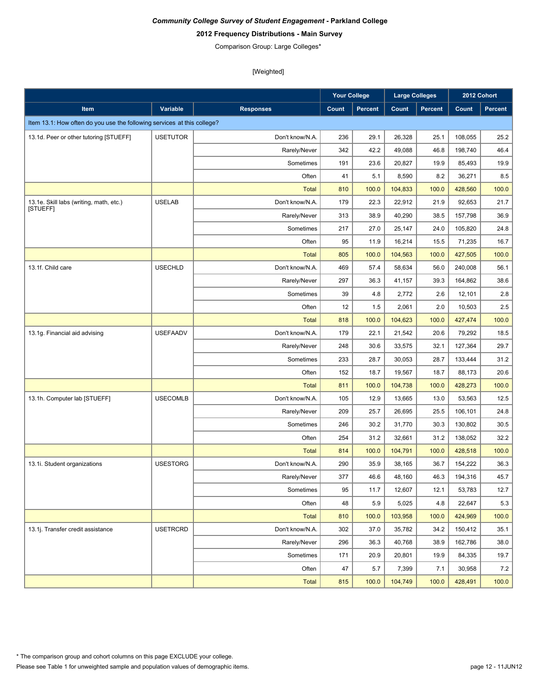# **2012 Frequency Distributions - Main Survey**

Comparison Group: Large Colleges\*

|                                                                         |                 |                  | Your College |         | <b>Large Colleges</b> |                | 2012 Cohort |         |
|-------------------------------------------------------------------------|-----------------|------------------|--------------|---------|-----------------------|----------------|-------------|---------|
| <b>Item</b>                                                             | Variable        | <b>Responses</b> | Count        | Percent | Count                 | <b>Percent</b> | Count       | Percent |
| Item 13.1: How often do you use the following services at this college? |                 |                  |              |         |                       |                |             |         |
| 13.1d. Peer or other tutoring [STUEFF]                                  | <b>USETUTOR</b> | Don't know/N.A.  | 236          | 29.1    | 26,328                | 25.1           | 108,055     | 25.2    |
|                                                                         |                 | Rarely/Never     | 342          | 42.2    | 49,088                | 46.8           | 198,740     | 46.4    |
|                                                                         |                 | Sometimes        | 191          | 23.6    | 20,827                | 19.9           | 85,493      | 19.9    |
|                                                                         |                 | Often            | 41           | 5.1     | 8,590                 | 8.2            | 36,271      | 8.5     |
|                                                                         |                 | <b>Total</b>     | 810          | 100.0   | 104,833               | 100.0          | 428,560     | 100.0   |
| 13.1e. Skill labs (writing, math, etc.)                                 | <b>USELAB</b>   | Don't know/N.A.  | 179          | 22.3    | 22,912                | 21.9           | 92,653      | 21.7    |
| [STUEFF]                                                                |                 | Rarely/Never     | 313          | 38.9    | 40,290                | 38.5           | 157,798     | 36.9    |
|                                                                         |                 | Sometimes        | 217          | 27.0    | 25,147                | 24.0           | 105,820     | 24.8    |
|                                                                         |                 | Often            | 95           | 11.9    | 16,214                | 15.5           | 71,235      | 16.7    |
|                                                                         |                 | <b>Total</b>     | 805          | 100.0   | 104,563               | 100.0          | 427,505     | 100.0   |
| 13.1f. Child care                                                       | <b>USECHLD</b>  | Don't know/N.A.  | 469          | 57.4    | 58,634                | 56.0           | 240,008     | 56.1    |
|                                                                         |                 | Rarely/Never     | 297          | 36.3    | 41,157                | 39.3           | 164,862     | 38.6    |
|                                                                         |                 | Sometimes        | 39           | 4.8     | 2,772                 | 2.6            | 12,101      | 2.8     |
|                                                                         |                 | Often            | 12           | 1.5     | 2,061                 | 2.0            | 10,503      | $2.5\,$ |
|                                                                         |                 | <b>Total</b>     | 818          | 100.0   | 104,623               | 100.0          | 427,474     | 100.0   |
| 13.1g. Financial aid advising                                           | <b>USEFAADV</b> | Don't know/N.A.  | 179          | 22.1    | 21,542                | 20.6           | 79,292      | 18.5    |
|                                                                         |                 | Rarely/Never     | 248          | 30.6    | 33,575                | 32.1           | 127,364     | 29.7    |
|                                                                         |                 | Sometimes        | 233          | 28.7    | 30,053                | 28.7           | 133,444     | 31.2    |
|                                                                         |                 | Often            | 152          | 18.7    | 19,567                | 18.7           | 88,173      | 20.6    |
|                                                                         |                 | <b>Total</b>     | 811          | 100.0   | 104,738               | 100.0          | 428,273     | 100.0   |
| 13.1h. Computer lab [STUEFF]                                            | <b>USECOMLB</b> | Don't know/N.A.  | 105          | 12.9    | 13,665                | 13.0           | 53,563      | 12.5    |
|                                                                         |                 | Rarely/Never     | 209          | 25.7    | 26,695                | 25.5           | 106,101     | 24.8    |
|                                                                         |                 | Sometimes        | 246          | 30.2    | 31,770                | 30.3           | 130,802     | 30.5    |
|                                                                         |                 | Often            | 254          | 31.2    | 32,661                | 31.2           | 138,052     | 32.2    |
|                                                                         |                 | <b>Total</b>     | 814          | 100.0   | 104,791               | 100.0          | 428,518     | 100.0   |
| 13.1i. Student organizations                                            | <b>USESTORG</b> | Don't know/N.A.  | 290          | 35.9    | 38,165                | 36.7           | 154,222     | 36.3    |
|                                                                         |                 | Rarely/Never     | 377          | 46.6    | 48.160                | 46.3           | 194,316     | 45.7    |
|                                                                         |                 | Sometimes        | 95           | 11.7    | 12,607                | 12.1           | 53,783      | 12.7    |
|                                                                         |                 | Often            | 48           | 5.9     | 5,025                 | 4.8            | 22,647      | 5.3     |
|                                                                         |                 | Total            | 810          | 100.0   | 103,958               | 100.0          | 424,969     | 100.0   |
| 13.1j. Transfer credit assistance                                       | <b>USETRCRD</b> | Don't know/N.A.  | 302          | 37.0    | 35,782                | 34.2           | 150,412     | 35.1    |
|                                                                         |                 | Rarely/Never     | 296          | 36.3    | 40,768                | 38.9           | 162,786     | 38.0    |
|                                                                         |                 | Sometimes        | 171          | 20.9    | 20,801                | 19.9           | 84,335      | 19.7    |
|                                                                         |                 | Often            | 47           | 5.7     | 7,399                 | 7.1            | 30,958      | 7.2     |
|                                                                         |                 | <b>Total</b>     | 815          | 100.0   | 104,749               | 100.0          | 428,491     | 100.0   |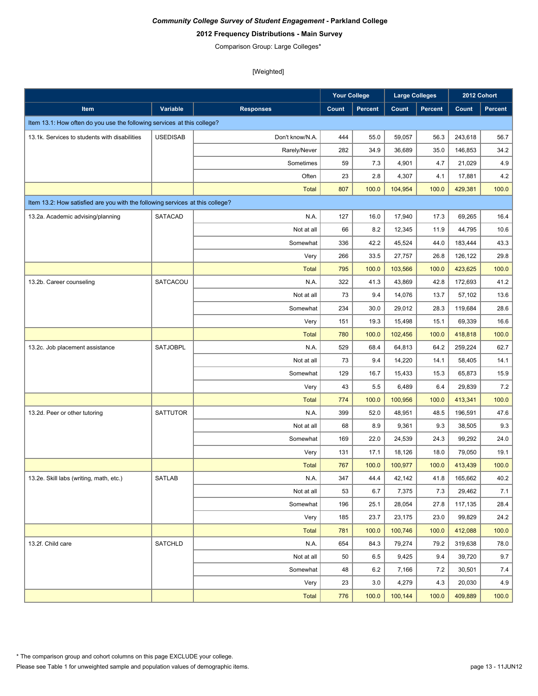# **2012 Frequency Distributions - Main Survey**

Comparison Group: Large Colleges\*

|                                                                               |                 |                  | <b>Your College</b> |                | <b>Large Colleges</b> |                |         | 2012 Cohort    |
|-------------------------------------------------------------------------------|-----------------|------------------|---------------------|----------------|-----------------------|----------------|---------|----------------|
| Item                                                                          | Variable        | <b>Responses</b> | Count               | <b>Percent</b> | Count                 | <b>Percent</b> | Count   | <b>Percent</b> |
| Item 13.1: How often do you use the following services at this college?       |                 |                  |                     |                |                       |                |         |                |
| 13.1k. Services to students with disabilities                                 | <b>USEDISAB</b> | Don't know/N.A.  | 444                 | 55.0           | 59,057                | 56.3           | 243,618 | 56.7           |
|                                                                               |                 | Rarely/Never     | 282                 | 34.9           | 36,689                | 35.0           | 146,853 | 34.2           |
|                                                                               |                 | Sometimes        | 59                  | 7.3            | 4,901                 | 4.7            | 21,029  | $4.9\,$        |
|                                                                               |                 | Often            | 23                  | 2.8            | 4,307                 | 4.1            | 17,881  | 4.2            |
|                                                                               |                 | <b>Total</b>     | 807                 | 100.0          | 104,954               | 100.0          | 429,381 | 100.0          |
| Item 13.2: How satisfied are you with the following services at this college? |                 |                  |                     |                |                       |                |         |                |
| 13.2a. Academic advising/planning                                             | <b>SATACAD</b>  | N.A.             | 127                 | 16.0           | 17,940                | 17.3           | 69,265  | 16.4           |
|                                                                               |                 | Not at all       | 66                  | 8.2            | 12,345                | 11.9           | 44,795  | 10.6           |
|                                                                               |                 | Somewhat         | 336                 | 42.2           | 45,524                | 44.0           | 183,444 | 43.3           |
|                                                                               |                 | Very             | 266                 | 33.5           | 27,757                | 26.8           | 126,122 | 29.8           |
|                                                                               |                 | <b>Total</b>     | 795                 | 100.0          | 103,566               | 100.0          | 423,625 | 100.0          |
| 13.2b. Career counseling                                                      | SATCACOU        | N.A.             | 322                 | 41.3           | 43,869                | 42.8           | 172,693 | 41.2           |
|                                                                               |                 | Not at all       | 73                  | 9.4            | 14,076                | 13.7           | 57,102  | 13.6           |
|                                                                               |                 | Somewhat         | 234                 | 30.0           | 29,012                | 28.3           | 119,684 | 28.6           |
|                                                                               |                 | Very             | 151                 | 19.3           | 15,498                | 15.1           | 69,339  | 16.6           |
|                                                                               |                 | <b>Total</b>     | 780                 | 100.0          | 102,456               | 100.0          | 418,818 | 100.0          |
| 13.2c. Job placement assistance                                               | <b>SATJOBPL</b> | N.A.             | 529                 | 68.4           | 64,813                | 64.2           | 259,224 | 62.7           |
|                                                                               |                 | Not at all       | 73                  | 9.4            | 14,220                | 14.1           | 58,405  | 14.1           |
|                                                                               |                 | Somewhat         | 129                 | 16.7           | 15,433                | 15.3           | 65,873  | 15.9           |
|                                                                               |                 | Very             | 43                  | 5.5            | 6,489                 | 6.4            | 29,839  | $7.2\,$        |
|                                                                               |                 | <b>Total</b>     | 774                 | 100.0          | 100,956               | 100.0          | 413,341 | 100.0          |
| 13.2d. Peer or other tutoring                                                 | <b>SATTUTOR</b> | N.A.             | 399                 | 52.0           | 48,951                | 48.5           | 196,591 | 47.6           |
|                                                                               |                 | Not at all       | 68                  | 8.9            | 9,361                 | 9.3            | 38,505  | 9.3            |
|                                                                               |                 | Somewhat         | 169                 | 22.0           | 24,539                | 24.3           | 99,292  | 24.0           |
|                                                                               |                 | Very             | 131                 | 17.1           | 18,126                | 18.0           | 79,050  | 19.1           |
|                                                                               |                 | <b>Total</b>     | 767                 | 100.0          | 100,977               | 100.0          | 413,439 | 100.0          |
| 13.2e. Skill labs (writing, math, etc.)                                       | <b>SATLAB</b>   | N.A.             | 347                 | 44.4           | 42,142                | 41.8           | 165,662 | 40.2           |
|                                                                               |                 | Not at all       | 53                  | 6.7            | 7,375                 | 7.3            | 29,462  | 7.1            |
|                                                                               |                 | Somewhat         | 196                 | 25.1           | 28,054                | 27.8           | 117,135 | 28.4           |
|                                                                               |                 | Very             | 185                 | 23.7           | 23,175                | 23.0           | 99,829  | 24.2           |
|                                                                               |                 | <b>Total</b>     | 781                 | 100.0          | 100,746               | 100.0          | 412,088 | 100.0          |
| 13.2f. Child care                                                             | SATCHLD         | N.A.             | 654                 | 84.3           | 79,274                | 79.2           | 319,638 | 78.0           |
|                                                                               |                 | Not at all       | 50                  | 6.5            | 9,425                 | 9.4            | 39,720  | 9.7            |
|                                                                               |                 | Somewhat         | 48                  | 6.2            | 7,166                 | 7.2            | 30,501  | 7.4            |
|                                                                               |                 | Very             | 23                  | 3.0            | 4,279                 | 4.3            | 20,030  | 4.9            |
|                                                                               |                 | <b>Total</b>     | 776                 | 100.0          | 100,144               | 100.0          | 409,889 | 100.0          |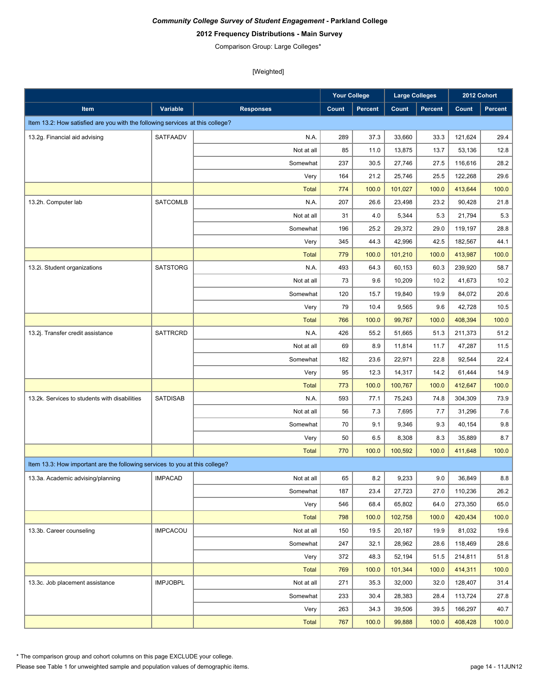# **2012 Frequency Distributions - Main Survey**

Comparison Group: Large Colleges\*

[Weighted]

|                                                                               |                 |                  | <b>Your College</b> |                | <b>Large Colleges</b> |                |         | 2012 Cohort |
|-------------------------------------------------------------------------------|-----------------|------------------|---------------------|----------------|-----------------------|----------------|---------|-------------|
| Item                                                                          | Variable        | <b>Responses</b> | Count               | <b>Percent</b> | Count                 | <b>Percent</b> | Count   | Percent     |
| Item 13.2: How satisfied are you with the following services at this college? |                 |                  |                     |                |                       |                |         |             |
| 13.2g. Financial aid advising                                                 | <b>SATFAADV</b> | N.A.             | 289                 | 37.3           | 33,660                | 33.3           | 121,624 | 29.4        |
|                                                                               |                 | Not at all       | 85                  | 11.0           | 13,875                | 13.7           | 53,136  | 12.8        |
|                                                                               |                 | Somewhat         | 237                 | 30.5           | 27,746                | 27.5           | 116,616 | 28.2        |
|                                                                               |                 | Very             | 164                 | 21.2           | 25,746                | 25.5           | 122,268 | 29.6        |
|                                                                               |                 | <b>Total</b>     | 774                 | 100.0          | 101,027               | 100.0          | 413,644 | 100.0       |
| 13.2h. Computer lab                                                           | <b>SATCOMLB</b> | N.A.             | 207                 | 26.6           | 23,498                | 23.2           | 90,428  | 21.8        |
|                                                                               |                 | Not at all       | 31                  | 4.0            | 5,344                 | 5.3            | 21,794  | 5.3         |
|                                                                               |                 | Somewhat         | 196                 | 25.2           | 29,372                | 29.0           | 119,197 | 28.8        |
|                                                                               |                 | Very             | 345                 | 44.3           | 42,996                | 42.5           | 182,567 | 44.1        |
|                                                                               |                 | <b>Total</b>     | 779                 | 100.0          | 101,210               | 100.0          | 413,987 | 100.0       |
| 13.2i. Student organizations                                                  | <b>SATSTORG</b> | N.A.             | 493                 | 64.3           | 60.153                | 60.3           | 239,920 | 58.7        |
|                                                                               |                 | Not at all       | 73                  | 9.6            | 10,209                | 10.2           | 41,673  | 10.2        |
|                                                                               |                 | Somewhat         | 120                 | 15.7           | 19,840                | 19.9           | 84,072  | 20.6        |
|                                                                               |                 | Very             | 79                  | 10.4           | 9,565                 | 9.6            | 42,728  | 10.5        |
|                                                                               |                 | <b>Total</b>     | 766                 | 100.0          | 99,767                | 100.0          | 408,394 | 100.0       |
| 13.2j. Transfer credit assistance                                             | <b>SATTRCRD</b> | N.A.             | 426                 | 55.2           | 51,665                | 51.3           | 211,373 | 51.2        |
|                                                                               |                 | Not at all       | 69                  | 8.9            | 11,814                | 11.7           | 47,287  | 11.5        |
|                                                                               |                 | Somewhat         | 182                 | 23.6           | 22,971                | 22.8           | 92,544  | 22.4        |
|                                                                               |                 | Very             | 95                  | 12.3           | 14,317                | 14.2           | 61,444  | 14.9        |
|                                                                               |                 | <b>Total</b>     | 773                 | 100.0          | 100,767               | 100.0          | 412,647 | 100.0       |
| 13.2k. Services to students with disabilities                                 | <b>SATDISAB</b> | N.A.             | 593                 | 77.1           | 75,243                | 74.8           | 304,309 | 73.9        |
|                                                                               |                 | Not at all       | 56                  | 7.3            | 7,695                 | 7.7            | 31,296  | 7.6         |
|                                                                               |                 | Somewhat         | 70                  | 9.1            | 9,346                 | 9.3            | 40,154  | 9.8         |
|                                                                               |                 | Very             | 50                  | 6.5            | 8,308                 | 8.3            | 35,889  | 8.7         |
|                                                                               |                 | <b>Total</b>     | 770                 | 100.0          | 100,592               | 100.0          | 411,648 | 100.0       |
| Item 13.3: How important are the following services to you at this college?   |                 |                  |                     |                |                       |                |         |             |
| 13.3a. Academic advising/planning                                             | <b>IMPACAD</b>  | Not at all       | 65                  | 8.2            | 9,233                 | 9.0            | 36,849  | 8.8         |
|                                                                               |                 | Somewhat         | 187                 | 23.4           | 27,723                | 27.0           | 110,236 | 26.2        |
|                                                                               |                 | Very             | 546                 | 68.4           | 65,802                | 64.0           | 273,350 | 65.0        |
|                                                                               |                 | <b>Total</b>     | 798                 | 100.0          | 102,758               | 100.0          | 420,434 | 100.0       |
| 13.3b. Career counseling                                                      | <b>IMPCACOU</b> | Not at all       | 150                 | 19.5           | 20,187                | 19.9           | 81,032  | 19.6        |
|                                                                               |                 | Somewhat         | 247                 | 32.1           | 28,962                | 28.6           | 118,469 | 28.6        |
|                                                                               |                 | Very             | 372                 | 48.3           | 52,194                | 51.5           | 214,811 | 51.8        |
|                                                                               |                 | <b>Total</b>     | 769                 | 100.0          | 101,344               | 100.0          | 414,311 | 100.0       |
| 13.3c. Job placement assistance                                               | <b>IMPJOBPL</b> | Not at all       | 271                 | 35.3           | 32,000                | 32.0           | 128,407 | 31.4        |
|                                                                               |                 | Somewhat         | 233                 | 30.4           | 28,383                | 28.4           | 113,724 | 27.8        |
|                                                                               |                 | Very             | 263                 | 34.3           | 39,506                | 39.5           | 166,297 | 40.7        |
|                                                                               |                 | <b>Total</b>     | 767                 | 100.0          | 99,888                | 100.0          | 408,428 | 100.0       |

\* The comparison group and cohort columns on this page EXCLUDE your college.

Please see Table 1 for unweighted sample and population values of demographic items.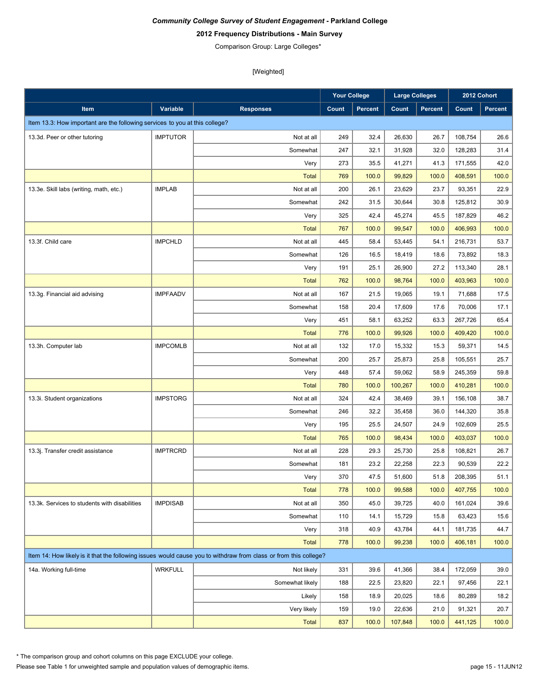# **2012 Frequency Distributions - Main Survey**

Comparison Group: Large Colleges\*

[Weighted]

|                                                                             |                 |                                                                                                                  | Your College |                | <b>Large Colleges</b> |                |         | 2012 Cohort |
|-----------------------------------------------------------------------------|-----------------|------------------------------------------------------------------------------------------------------------------|--------------|----------------|-----------------------|----------------|---------|-------------|
| Item                                                                        | Variable        | <b>Responses</b>                                                                                                 | Count        | <b>Percent</b> | Count                 | <b>Percent</b> | Count   | Percent     |
| Item 13.3: How important are the following services to you at this college? |                 |                                                                                                                  |              |                |                       |                |         |             |
| 13.3d. Peer or other tutoring                                               | <b>IMPTUTOR</b> | Not at all                                                                                                       | 249          | 32.4           | 26,630                | 26.7           | 108,754 | 26.6        |
|                                                                             |                 | Somewhat                                                                                                         | 247          | 32.1           | 31,928                | 32.0           | 128,283 | 31.4        |
|                                                                             |                 | Very                                                                                                             | 273          | 35.5           | 41,271                | 41.3           | 171,555 | 42.0        |
|                                                                             |                 | <b>Total</b>                                                                                                     | 769          | 100.0          | 99,829                | 100.0          | 408,591 | 100.0       |
| 13.3e. Skill labs (writing, math, etc.)                                     | <b>IMPLAB</b>   | Not at all                                                                                                       | 200          | 26.1           | 23,629                | 23.7           | 93,351  | 22.9        |
|                                                                             |                 | Somewhat                                                                                                         | 242          | 31.5           | 30,644                | 30.8           | 125,812 | 30.9        |
|                                                                             |                 | Very                                                                                                             | 325          | 42.4           | 45,274                | 45.5           | 187,829 | 46.2        |
|                                                                             |                 | <b>Total</b>                                                                                                     | 767          | 100.0          | 99,547                | 100.0          | 406,993 | 100.0       |
| 13.3f. Child care                                                           | <b>IMPCHLD</b>  | Not at all                                                                                                       | 445          | 58.4           | 53,445                | 54.1           | 216,731 | 53.7        |
|                                                                             |                 | Somewhat                                                                                                         | 126          | 16.5           | 18,419                | 18.6           | 73,892  | 18.3        |
|                                                                             |                 | Very                                                                                                             | 191          | 25.1           | 26,900                | 27.2           | 113,340 | 28.1        |
|                                                                             |                 | <b>Total</b>                                                                                                     | 762          | 100.0          | 98,764                | 100.0          | 403,963 | 100.0       |
| 13.3g. Financial aid advising                                               | <b>IMPFAADV</b> | Not at all                                                                                                       | 167          | 21.5           | 19.065                | 19.1           | 71,688  | 17.5        |
|                                                                             |                 | Somewhat                                                                                                         | 158          | 20.4           | 17,609                | 17.6           | 70,006  | 17.1        |
|                                                                             |                 | Very                                                                                                             | 451          | 58.1           | 63,252                | 63.3           | 267,726 | 65.4        |
|                                                                             |                 | <b>Total</b>                                                                                                     | 776          | 100.0          | 99,926                | 100.0          | 409,420 | 100.0       |
| 13.3h. Computer lab                                                         | <b>IMPCOMLB</b> | Not at all                                                                                                       | 132          | 17.0           | 15,332                | 15.3           | 59,371  | 14.5        |
|                                                                             |                 | Somewhat                                                                                                         | 200          | 25.7           | 25,873                | 25.8           | 105,551 | 25.7        |
|                                                                             |                 | Very                                                                                                             | 448          | 57.4           | 59,062                | 58.9           | 245,359 | 59.8        |
|                                                                             |                 | <b>Total</b>                                                                                                     | 780          | 100.0          | 100,267               | 100.0          | 410,281 | 100.0       |
| 13.3i. Student organizations                                                | <b>IMPSTORG</b> | Not at all                                                                                                       | 324          | 42.4           | 38,469                | 39.1           | 156,108 | 38.7        |
|                                                                             |                 | Somewhat                                                                                                         | 246          | 32.2           | 35,458                | 36.0           | 144,320 | 35.8        |
|                                                                             |                 | Very                                                                                                             | 195          | 25.5           | 24,507                | 24.9           | 102,609 | 25.5        |
|                                                                             |                 | <b>Total</b>                                                                                                     | 765          | 100.0          | 98,434                | 100.0          | 403,037 | 100.0       |
| 13.3j. Transfer credit assistance                                           | <b>IMPTRCRD</b> | Not at all                                                                                                       | 228          | 29.3           | 25,730                | 25.8           | 108,821 | 26.7        |
|                                                                             |                 | Somewhat                                                                                                         | 181          | 23.2           | 22,258                | 22.3           | 90,539  | 22.2        |
|                                                                             |                 | Very                                                                                                             | 370          | 47.5           | 51,600                | 51.8           | 208,395 | 51.1        |
|                                                                             |                 | <b>Total</b>                                                                                                     | 778          | 100.0          | 99,588                | 100.0          | 407,755 | 100.0       |
| 13.3k. Services to students with disabilities                               | <b>IMPDISAB</b> | Not at all                                                                                                       | 350          | 45.0           | 39,725                | 40.0           | 161,024 | 39.6        |
|                                                                             |                 | Somewhat                                                                                                         | 110          | 14.1           | 15,729                | 15.8           | 63,423  | 15.6        |
|                                                                             |                 | Very                                                                                                             | 318          | 40.9           | 43,784                | 44.1           | 181,735 | 44.7        |
|                                                                             |                 | <b>Total</b>                                                                                                     | 778          | 100.0          | 99,238                | 100.0          | 406,181 | 100.0       |
|                                                                             |                 | Item 14: How likely is it that the following issues would cause you to withdraw from class or from this college? |              |                |                       |                |         |             |
| 14a. Working full-time                                                      | <b>WRKFULL</b>  | Not likely                                                                                                       | 331          | 39.6           | 41,366                | 38.4           | 172,059 | 39.0        |
|                                                                             |                 | Somewhat likely                                                                                                  | 188          | 22.5           | 23,820                | 22.1           | 97,456  | 22.1        |
|                                                                             |                 | Likely                                                                                                           | 158          | 18.9           | 20,025                | 18.6           | 80,289  | 18.2        |
|                                                                             |                 | Very likely                                                                                                      | 159          | 19.0           | 22,636                | 21.0           | 91,321  | 20.7        |
|                                                                             |                 | <b>Total</b>                                                                                                     | 837          | 100.0          | 107,848               | 100.0          | 441,125 | 100.0       |

\* The comparison group and cohort columns on this page EXCLUDE your college.

Please see Table 1 for unweighted sample and population values of demographic items.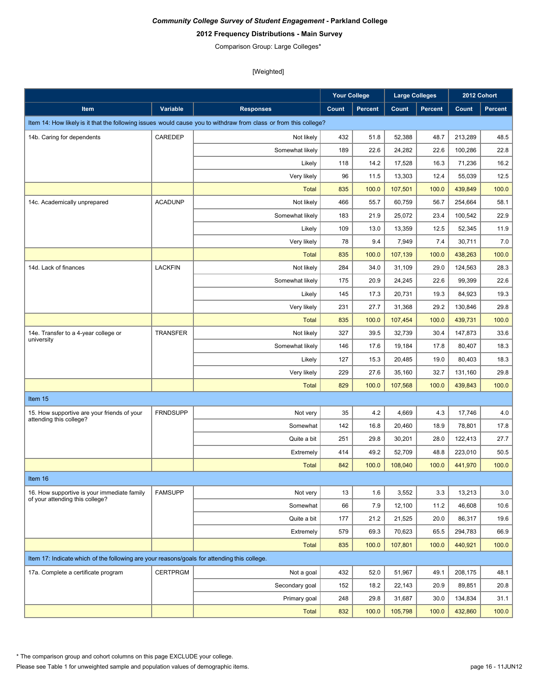# **2012 Frequency Distributions - Main Survey**

Comparison Group: Large Colleges\*

|                                                                                             |                 |                                                                                                                  | <b>Your College</b> |                | <b>Large Colleges</b> |                | 2012 Cohort |                |
|---------------------------------------------------------------------------------------------|-----------------|------------------------------------------------------------------------------------------------------------------|---------------------|----------------|-----------------------|----------------|-------------|----------------|
| Item                                                                                        | Variable        | <b>Responses</b>                                                                                                 | Count               | <b>Percent</b> | Count                 | <b>Percent</b> | Count       | <b>Percent</b> |
|                                                                                             |                 | Item 14: How likely is it that the following issues would cause you to withdraw from class or from this college? |                     |                |                       |                |             |                |
| 14b. Caring for dependents                                                                  | CAREDEP         | Not likely                                                                                                       | 432                 | 51.8           | 52,388                | 48.7           | 213,289     | 48.5           |
|                                                                                             |                 | Somewhat likely                                                                                                  | 189                 | 22.6           | 24,282                | 22.6           | 100,286     | 22.8           |
|                                                                                             |                 | Likely                                                                                                           | 118                 | 14.2           | 17,528                | 16.3           | 71,236      | 16.2           |
|                                                                                             |                 | Very likely                                                                                                      | 96                  | 11.5           | 13,303                | 12.4           | 55,039      | 12.5           |
|                                                                                             |                 | <b>Total</b>                                                                                                     | 835                 | 100.0          | 107,501               | 100.0          | 439,849     | 100.0          |
| 14c. Academically unprepared                                                                | <b>ACADUNP</b>  | Not likely                                                                                                       | 466                 | 55.7           | 60,759                | 56.7           | 254,664     | 58.1           |
|                                                                                             |                 | Somewhat likely                                                                                                  | 183                 | 21.9           | 25,072                | 23.4           | 100,542     | 22.9           |
|                                                                                             |                 | Likely                                                                                                           | 109                 | 13.0           | 13,359                | 12.5           | 52,345      | 11.9           |
|                                                                                             |                 | Very likely                                                                                                      | 78                  | 9.4            | 7,949                 | 7.4            | 30,711      | 7.0            |
|                                                                                             |                 | <b>Total</b>                                                                                                     | 835                 | 100.0          | 107,139               | 100.0          | 438,263     | 100.0          |
| 14d. Lack of finances                                                                       | <b>LACKFIN</b>  | Not likely                                                                                                       | 284                 | 34.0           | 31,109                | 29.0           | 124,563     | 28.3           |
|                                                                                             |                 | Somewhat likely                                                                                                  | 175                 | 20.9           | 24,245                | 22.6           | 99,399      | 22.6           |
|                                                                                             |                 | Likely                                                                                                           | 145                 | 17.3           | 20,731                | 19.3           | 84.923      | 19.3           |
|                                                                                             |                 | Very likely                                                                                                      | 231                 | 27.7           | 31,368                | 29.2           | 130,846     | 29.8           |
|                                                                                             |                 | <b>Total</b>                                                                                                     | 835                 | 100.0          | 107.454               | 100.0          | 439,731     | 100.0          |
| 14e. Transfer to a 4-year college or<br>university                                          | <b>TRANSFER</b> | Not likely                                                                                                       | 327                 | 39.5           | 32,739                | 30.4           | 147,873     | 33.6           |
|                                                                                             |                 | Somewhat likely                                                                                                  | 146                 | 17.6           | 19,184                | 17.8           | 80,407      | 18.3           |
|                                                                                             |                 | Likely                                                                                                           | 127                 | 15.3           | 20,485                | 19.0           | 80,403      | 18.3           |
|                                                                                             |                 | Very likely                                                                                                      | 229                 | 27.6           | 35,160                | 32.7           | 131,160     | 29.8           |
|                                                                                             |                 | <b>Total</b>                                                                                                     | 829                 | 100.0          | 107,568               | 100.0          | 439,843     | 100.0          |
| Item 15                                                                                     |                 |                                                                                                                  |                     |                |                       |                |             |                |
| 15. How supportive are your friends of your<br>attending this college?                      | <b>FRNDSUPP</b> | Not very                                                                                                         | 35                  | 4.2            | 4,669                 | 4.3            | 17,746      | 4.0            |
|                                                                                             |                 | Somewhat                                                                                                         | 142                 | 16.8           | 20,460                | 18.9           | 78,801      | 17.8           |
|                                                                                             |                 | Quite a bit                                                                                                      | 251                 | 29.8           | 30,201                | 28.0           | 122,413     | 27.7           |
|                                                                                             |                 | Extremely                                                                                                        | 414                 | 49.2           | 52,709                | 48.8           | 223,010     | 50.5           |
|                                                                                             |                 | <b>Total</b>                                                                                                     | 842                 | 100.0          | 108,040               | 100.0          | 441,970     | 100.0          |
| Item 16                                                                                     |                 |                                                                                                                  |                     |                |                       |                |             |                |
| 16. How supportive is your immediate family                                                 | <b>FAMSUPP</b>  | Not very                                                                                                         | 13                  | 1.6            | 3,552                 | 3.3            | 13,213      | 3.0            |
| of your attending this college?                                                             |                 | Somewhat                                                                                                         | 66                  | 7.9            | 12,100                | 11.2           | 46,608      | 10.6           |
|                                                                                             |                 | Quite a bit                                                                                                      | 177                 | 21.2           | 21,525                | 20.0           | 86,317      | 19.6           |
|                                                                                             |                 | Extremely                                                                                                        | 579                 | 69.3           | 70,623                | 65.5           | 294,783     | 66.9           |
|                                                                                             |                 | <b>Total</b>                                                                                                     | 835                 | 100.0          | 107,801               | 100.0          | 440,921     | 100.0          |
| Item 17: Indicate which of the following are your reasons/goals for attending this college. |                 |                                                                                                                  |                     |                |                       |                |             |                |
| 17a. Complete a certificate program                                                         | <b>CERTPRGM</b> | Not a goal                                                                                                       | 432                 | 52.0           | 51,967                | 49.1           | 208,175     | 48.1           |
|                                                                                             |                 | Secondary goal                                                                                                   | 152                 | 18.2           | 22,143                | 20.9           | 89,851      | 20.8           |
|                                                                                             |                 | Primary goal                                                                                                     | 248                 | 29.8           | 31,687                | 30.0           | 134,834     | 31.1           |
|                                                                                             |                 | <b>Total</b>                                                                                                     | 832                 | 100.0          | 105,798               | 100.0          | 432,860     | 100.0          |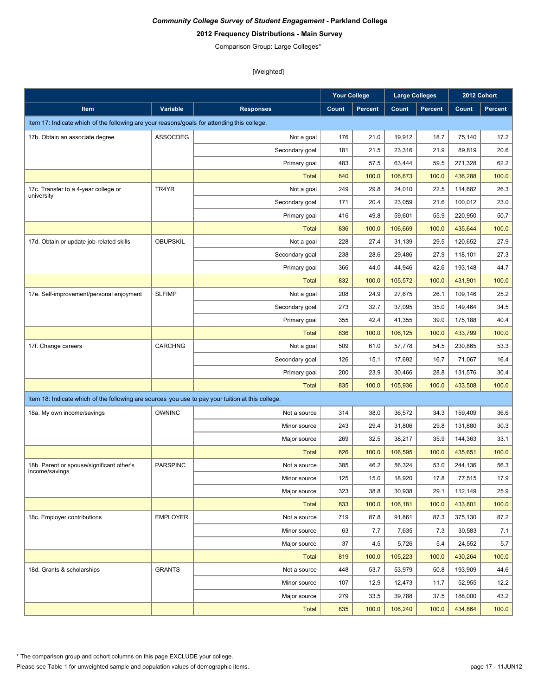# **2012 Frequency Distributions - Main Survey**

Comparison Group: Large Colleges\*

|                                                                                                   |                 |                  | <b>Your College</b> |                | <b>Large Colleges</b> |                |         | 2012 Cohort    |
|---------------------------------------------------------------------------------------------------|-----------------|------------------|---------------------|----------------|-----------------------|----------------|---------|----------------|
| Item                                                                                              | Variable        | <b>Responses</b> | Count               | <b>Percent</b> | Count                 | <b>Percent</b> | Count   | <b>Percent</b> |
| Item 17: Indicate which of the following are your reasons/goals for attending this college.       |                 |                  |                     |                |                       |                |         |                |
| 17b. Obtain an associate degree                                                                   | ASSOCDEG        | Not a goal       | 176                 | 21.0           | 19.912                | 18.7           | 75,140  | 17.2           |
|                                                                                                   |                 | Secondary goal   | 181                 | 21.5           | 23,316                | 21.9           | 89,819  | 20.6           |
|                                                                                                   |                 | Primary goal     | 483                 | 57.5           | 63,444                | 59.5           | 271,328 | 62.2           |
|                                                                                                   |                 | <b>Total</b>     | 840                 | 100.0          | 106,673               | 100.0          | 436,288 | 100.0          |
| 17c. Transfer to a 4-year college or                                                              | TR4YR           | Not a goal       | 249                 | 29.8           | 24,010                | 22.5           | 114,682 | 26.3           |
| university                                                                                        |                 | Secondary goal   | 171                 | 20.4           | 23,059                | 21.6           | 100,012 | 23.0           |
|                                                                                                   |                 | Primary goal     | 416                 | 49.8           | 59,601                | 55.9           | 220,950 | 50.7           |
|                                                                                                   |                 | <b>Total</b>     | 836                 | 100.0          | 106,669               | 100.0          | 435,644 | 100.0          |
| 17d. Obtain or update job-related skills                                                          | <b>OBUPSKIL</b> | Not a goal       | 228                 | 27.4           | 31,139                | 29.5           | 120,652 | 27.9           |
|                                                                                                   |                 | Secondary goal   | 238                 | 28.6           | 29,486                | 27.9           | 118,101 | 27.3           |
|                                                                                                   |                 | Primary goal     | 366                 | 44.0           | 44,946                | 42.6           | 193,148 | 44.7           |
|                                                                                                   |                 | <b>Total</b>     | 832                 | 100.0          | 105,572               | 100.0          | 431,901 | 100.0          |
| 17e. Self-improvement/personal enjoyment                                                          | <b>SLFIMP</b>   | Not a goal       | 208                 | 24.9           | 27.675                | 26.1           | 109,146 | 25.2           |
|                                                                                                   |                 | Secondary goal   | 273                 | 32.7           | 37,095                | 35.0           | 149,464 | 34.5           |
|                                                                                                   |                 | Primary goal     | 355                 | 42.4           | 41,355                | 39.0           | 175,188 | 40.4           |
|                                                                                                   |                 | <b>Total</b>     | 836                 | 100.0          | 106,125               | 100.0          | 433,799 | 100.0          |
| 17f. Change careers                                                                               | <b>CARCHNG</b>  | Not a goal       | 509                 | 61.0           | 57,778                | 54.5           | 230,865 | 53.3           |
|                                                                                                   |                 | Secondary goal   | 126                 | 15.1           | 17,692                | 16.7           | 71,067  | 16.4           |
|                                                                                                   |                 | Primary goal     | 200                 | 23.9           | 30,466                | 28.8           | 131,576 | 30.4           |
|                                                                                                   |                 | <b>Total</b>     | 835                 | 100.0          | 105,936               | 100.0          | 433,508 | 100.0          |
| Item 18: Indicate which of the following are sources you use to pay your tuition at this college. |                 |                  |                     |                |                       |                |         |                |
| 18a. My own income/savings                                                                        | <b>OWNINC</b>   | Not a source     | 314                 | 38.0           | 36,572                | 34.3           | 159,409 | 36.6           |
|                                                                                                   |                 | Minor source     | 243                 | 29.4           | 31,806                | 29.8           | 131,880 | 30.3           |
|                                                                                                   |                 | Major source     | 269                 | 32.5           | 38,217                | 35.9           | 144,363 | 33.1           |
|                                                                                                   |                 | <b>Total</b>     | 826                 | 100.0          | 106,595               | 100.0          | 435,651 | 100.0          |
| 18b. Parent or spouse/significant other's                                                         | <b>PARSPINC</b> | Not a source     | 385                 | 46.2           | 56,324                | 53.0           | 244,136 | 56.3           |
| income/savings                                                                                    |                 | Minor source     | 125                 | 15.0           | 18,920                | 17.8           | 77,515  | 17.9           |
|                                                                                                   |                 | Major source     | 323                 | 38.8           | 30,938                | 29.1           | 112,149 | 25.9           |
|                                                                                                   |                 | <b>Total</b>     | 833                 | 100.0          | 106,181               | 100.0          | 433,801 | 100.0          |
| 18c. Employer contributions                                                                       | <b>EMPLOYER</b> | Not a source     | 719                 | 87.8           | 91,861                | 87.3           | 375,130 | 87.2           |
|                                                                                                   |                 | Minor source     | 63                  | 7.7            | 7,635                 | 7.3            | 30,583  | 7.1            |
|                                                                                                   |                 | Major source     | 37                  | 4.5            | 5,726                 | 5.4            | 24,552  | 5.7            |
|                                                                                                   |                 | <b>Total</b>     | 819                 | 100.0          | 105,223               | 100.0          | 430,264 | 100.0          |
| 18d. Grants & scholarships                                                                        | <b>GRANTS</b>   | Not a source     | 448                 | 53.7           | 53,979                | 50.8           | 193,909 | 44.6           |
|                                                                                                   |                 | Minor source     | 107                 | 12.9           | 12,473                | 11.7           | 52,955  | 12.2           |
|                                                                                                   |                 | Major source     | 279                 | 33.5           | 39,788                | 37.5           | 188,000 | 43.2           |
|                                                                                                   |                 | <b>Total</b>     | 835                 | 100.0          | 106,240               | 100.0          | 434,864 | 100.0          |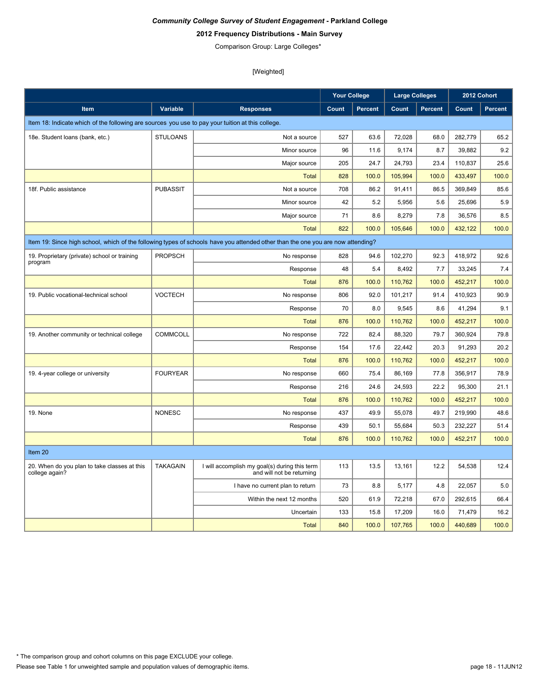# **2012 Frequency Distributions - Main Survey**

Comparison Group: Large Colleges\*

|                                                                                                   |                 |                                                                                                                                 | <b>Your College</b> |                | <b>Large Colleges</b> |                | 2012 Cohort |                |
|---------------------------------------------------------------------------------------------------|-----------------|---------------------------------------------------------------------------------------------------------------------------------|---------------------|----------------|-----------------------|----------------|-------------|----------------|
| <b>Item</b>                                                                                       | Variable        | <b>Responses</b>                                                                                                                | Count               | <b>Percent</b> | Count                 | <b>Percent</b> | Count       | <b>Percent</b> |
| Item 18: Indicate which of the following are sources you use to pay your tuition at this college. |                 |                                                                                                                                 |                     |                |                       |                |             |                |
| 18e. Student loans (bank, etc.)                                                                   | <b>STULOANS</b> | Not a source                                                                                                                    | 527                 | 63.6           | 72,028                | 68.0           | 282,779     | 65.2           |
|                                                                                                   |                 | Minor source                                                                                                                    | 96                  | 11.6           | 9,174                 | 8.7            | 39.882      | 9.2            |
|                                                                                                   |                 | Major source                                                                                                                    | 205                 | 24.7           | 24,793                | 23.4           | 110,837     | 25.6           |
|                                                                                                   |                 | <b>Total</b>                                                                                                                    | 828                 | 100.0          | 105,994               | 100.0          | 433,497     | 100.0          |
| 18f. Public assistance                                                                            | <b>PUBASSIT</b> | Not a source                                                                                                                    | 708                 | 86.2           | 91,411                | 86.5           | 369,849     | 85.6           |
|                                                                                                   |                 | Minor source                                                                                                                    | 42                  | 5.2            | 5,956                 | 5.6            | 25.696      | 5.9            |
|                                                                                                   |                 | Major source                                                                                                                    | 71                  | 8.6            | 8,279                 | 7.8            | 36,576      | 8.5            |
|                                                                                                   |                 | <b>Total</b>                                                                                                                    | 822                 | 100.0          | 105,646               | 100.0          | 432,122     | 100.0          |
|                                                                                                   |                 | Item 19: Since high school, which of the following types of schools have you attended other than the one you are now attending? |                     |                |                       |                |             |                |
| 19. Proprietary (private) school or training                                                      | <b>PROPSCH</b>  | No response                                                                                                                     | 828                 | 94.6           | 102,270               | 92.3           | 418,972     | 92.6           |
| program                                                                                           |                 | Response                                                                                                                        | 48                  | 5.4            | 8,492                 | 7.7            | 33,245      | 7.4            |
|                                                                                                   |                 | <b>Total</b>                                                                                                                    | 876                 | 100.0          | 110,762               | 100.0          | 452,217     | 100.0          |
| 19. Public vocational-technical school                                                            | <b>VOCTECH</b>  | No response                                                                                                                     | 806                 | 92.0           | 101,217               | 91.4           | 410,923     | 90.9           |
|                                                                                                   |                 | Response                                                                                                                        | 70                  | 8.0            | 9,545                 | 8.6            | 41,294      | 9.1            |
|                                                                                                   |                 | <b>Total</b>                                                                                                                    | 876                 | 100.0          | 110,762               | 100.0          | 452,217     | 100.0          |
| 19. Another community or technical college                                                        | <b>COMMCOLL</b> | No response                                                                                                                     | 722                 | 82.4           | 88.320                | 79.7           | 360.924     | 79.8           |
|                                                                                                   |                 | Response                                                                                                                        | 154                 | 17.6           | 22,442                | 20.3           | 91,293      | 20.2           |
|                                                                                                   |                 | <b>Total</b>                                                                                                                    | 876                 | 100.0          | 110,762               | 100.0          | 452,217     | 100.0          |
| 19. 4-year college or university                                                                  | <b>FOURYEAR</b> | No response                                                                                                                     | 660                 | 75.4           | 86,169                | 77.8           | 356,917     | 78.9           |
|                                                                                                   |                 | Response                                                                                                                        | 216                 | 24.6           | 24,593                | 22.2           | 95.300      | 21.1           |
|                                                                                                   |                 | <b>Total</b>                                                                                                                    | 876                 | 100.0          | 110,762               | 100.0          | 452,217     | 100.0          |
| 19. None                                                                                          | <b>NONESC</b>   | No response                                                                                                                     | 437                 | 49.9           | 55.078                | 49.7           | 219,990     | 48.6           |
|                                                                                                   |                 | Response                                                                                                                        | 439                 | 50.1           | 55,684                | 50.3           | 232,227     | 51.4           |
|                                                                                                   |                 | <b>Total</b>                                                                                                                    | 876                 | 100.0          | 110.762               | 100.0          | 452,217     | 100.0          |
| Item 20                                                                                           |                 |                                                                                                                                 |                     |                |                       |                |             |                |
| 20. When do you plan to take classes at this<br>college again?                                    | <b>TAKAGAIN</b> | I will accomplish my goal(s) during this term<br>and will not be returning                                                      | 113                 | 13.5           | 13,161                | 12.2           | 54,538      | 12.4           |
|                                                                                                   |                 | I have no current plan to return                                                                                                | 73                  | 8.8            | 5.177                 | 4.8            | 22.057      | 5.0            |
|                                                                                                   |                 | Within the next 12 months                                                                                                       | 520                 | 61.9           | 72,218                | 67.0           | 292,615     | 66.4           |
|                                                                                                   |                 | Uncertain                                                                                                                       | 133                 | 15.8           | 17,209                | 16.0           | 71,479      | 16.2           |
|                                                                                                   |                 | <b>Total</b>                                                                                                                    | 840                 | 100.0          | 107,765               | 100.0          | 440,689     | 100.0          |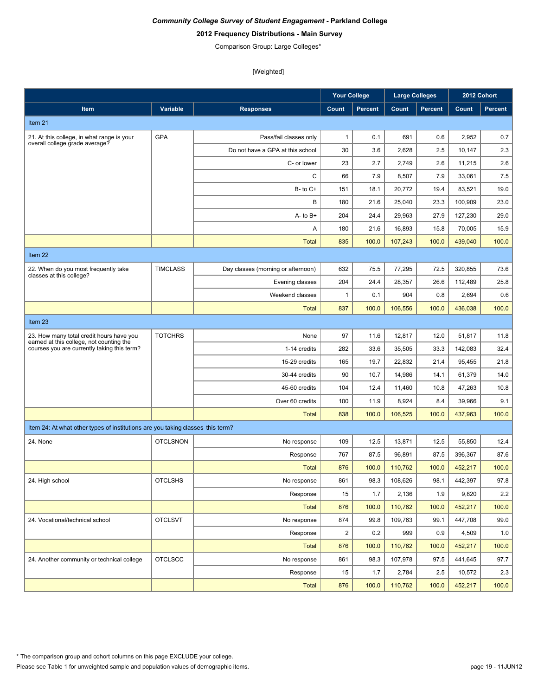# **2012 Frequency Distributions - Main Survey**

Comparison Group: Large Colleges\*

|                                                                                         |                 |                                    | <b>Your College</b> |                | <b>Large Colleges</b> |                | 2012 Cohort |         |
|-----------------------------------------------------------------------------------------|-----------------|------------------------------------|---------------------|----------------|-----------------------|----------------|-------------|---------|
| Item                                                                                    | Variable        | <b>Responses</b>                   | Count               | <b>Percent</b> | Count                 | <b>Percent</b> | Count       | Percent |
| Item 21                                                                                 |                 |                                    |                     |                |                       |                |             |         |
| 21. At this college, in what range is your                                              | <b>GPA</b>      | Pass/fail classes only             | $\mathbf{1}$        | 0.1            | 691                   | 0.6            | 2,952       | 0.7     |
| overall college grade average?                                                          |                 | Do not have a GPA at this school   | 30                  | 3.6            | 2,628                 | 2.5            | 10,147      | 2.3     |
|                                                                                         |                 | C- or lower                        | 23                  | 2.7            | 2,749                 | 2.6            | 11,215      | 2.6     |
|                                                                                         |                 | C                                  | 66                  | 7.9            | 8,507                 | 7.9            | 33,061      | 7.5     |
|                                                                                         |                 | $B - to C +$                       | 151                 | 18.1           | 20.772                | 19.4           | 83,521      | 19.0    |
|                                                                                         |                 | B                                  | 180                 | 21.6           | 25,040                | 23.3           | 100.909     | 23.0    |
|                                                                                         |                 | $A - to B +$                       | 204                 | 24.4           | 29.963                | 27.9           | 127,230     | 29.0    |
|                                                                                         |                 | Α                                  | 180                 | 21.6           | 16,893                | 15.8           | 70,005      | 15.9    |
|                                                                                         |                 | <b>Total</b>                       | 835                 | 100.0          | 107,243               | 100.0          | 439,040     | 100.0   |
| Item 22                                                                                 |                 |                                    |                     |                |                       |                |             |         |
| 22. When do you most frequently take                                                    | <b>TIMCLASS</b> | Day classes (morning or afternoon) | 632                 | 75.5           | 77,295                | 72.5           | 320,855     | 73.6    |
| classes at this college?                                                                |                 | Evening classes                    | 204                 | 24.4           | 28,357                | 26.6           | 112,489     | 25.8    |
|                                                                                         |                 | Weekend classes                    | 1                   | 0.1            | 904                   | 0.8            | 2,694       | 0.6     |
|                                                                                         |                 | Total                              | 837                 | 100.0          | 106,556               | 100.0          | 436.038     | 100.0   |
| Item 23                                                                                 |                 |                                    |                     |                |                       |                |             |         |
| 23. How many total credit hours have you                                                | <b>TOTCHRS</b>  | None                               | 97                  | 11.6           | 12,817                | 12.0           | 51,817      | 11.8    |
| earned at this college, not counting the<br>courses you are currently taking this term? |                 | 1-14 credits                       | 282                 | 33.6           | 35,505                | 33.3           | 142,083     | 32.4    |
|                                                                                         |                 | 15-29 credits                      | 165                 | 19.7           | 22,832                | 21.4           | 95,455      | 21.8    |
|                                                                                         |                 | 30-44 credits                      | 90                  | 10.7           | 14,986                | 14.1           | 61,379      | 14.0    |
|                                                                                         |                 | 45-60 credits                      | 104                 | 12.4           | 11,460                | 10.8           | 47,263      | 10.8    |
|                                                                                         |                 | Over 60 credits                    | 100                 | 11.9           | 8,924                 | 8.4            | 39,966      | 9.1     |
|                                                                                         |                 | <b>Total</b>                       | 838                 | 100.0          | 106,525               | 100.0          | 437,963     | 100.0   |
| Item 24: At what other types of institutions are you taking classes this term?          |                 |                                    |                     |                |                       |                |             |         |
| 24. None                                                                                | <b>OTCLSNON</b> | No response                        | 109                 | 12.5           | 13,871                | 12.5           | 55,850      | 12.4    |
|                                                                                         |                 | Response                           | 767                 | 87.5           | 96,891                | 87.5           | 396,367     | 87.6    |
|                                                                                         |                 | <b>Total</b>                       | 876                 | 100.0          | 110,762               | 100.0          | 452,217     | 100.0   |
| 24. High school                                                                         | <b>OTCLSHS</b>  | No response                        | 861                 | 98.3           | 108,626               | 98.1           | 442,397     | 97.8    |
|                                                                                         |                 | Response                           | 15                  | 1.7            | 2,136                 | 1.9            | 9,820       | 2.2     |
|                                                                                         |                 | Total                              | 876                 | 100.0          | 110,762               | 100.0          | 452,217     | 100.0   |
| 24. Vocational/technical school                                                         | <b>OTCLSVT</b>  | No response                        | 874                 | 99.8           | 109,763               | 99.1           | 447,708     | 99.0    |
|                                                                                         |                 | Response                           | $\overline{c}$      | 0.2            | 999                   | 0.9            | 4,509       | 1.0     |
|                                                                                         |                 | Total                              | 876                 | 100.0          | 110,762               | 100.0          | 452,217     | 100.0   |
| 24. Another community or technical college                                              | <b>OTCLSCC</b>  | No response                        | 861                 | 98.3           | 107,978               | 97.5           | 441,645     | 97.7    |
|                                                                                         |                 | Response                           | 15                  | 1.7            | 2,784                 | 2.5            | 10,572      | 2.3     |
|                                                                                         |                 | <b>Total</b>                       | 876                 | 100.0          | 110,762               | 100.0          | 452,217     | 100.0   |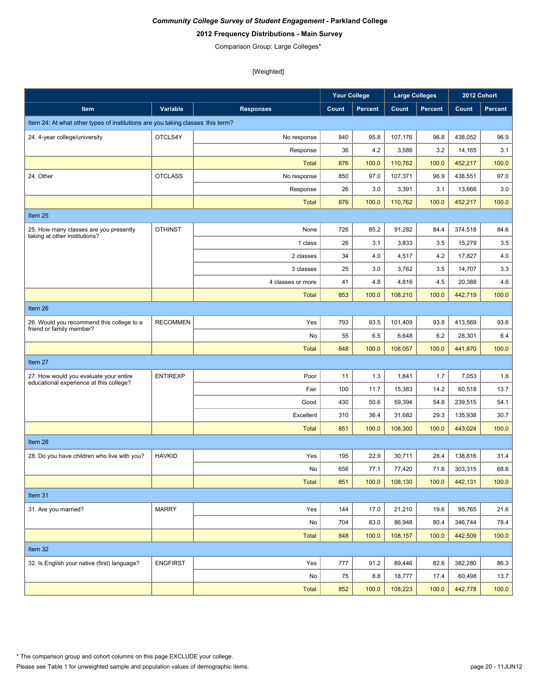# **2012 Frequency Distributions - Main Survey**

Comparison Group: Large Colleges\*

|                                                                                   |                 |                   | <b>Your College</b> |                | <b>Large Colleges</b> |                |         | 2012 Cohort |
|-----------------------------------------------------------------------------------|-----------------|-------------------|---------------------|----------------|-----------------------|----------------|---------|-------------|
| Item                                                                              | Variable        | <b>Responses</b>  | Count               | <b>Percent</b> | Count                 | <b>Percent</b> | Count   | Percent     |
| Item 24: At what other types of institutions are you taking classes this term?    |                 |                   |                     |                |                       |                |         |             |
| 24. 4-year college/university                                                     | OTCLS4Y         | No response       | 840                 | 95.8           | 107,176               | 96.8           | 438,052 | 96.9        |
|                                                                                   |                 | Response          | 36                  | 4.2            | 3,586                 | 3.2            | 14,165  | 3.1         |
|                                                                                   |                 | <b>Total</b>      | 876                 | 100.0          | 110,762               | 100.0          | 452,217 | 100.0       |
| 24. Other                                                                         | <b>OTCLASS</b>  | No response       | 850                 | 97.0           | 107,371               | 96.9           | 438,551 | 97.0        |
|                                                                                   |                 | Response          | 26                  | 3.0            | 3,391                 | 3.1            | 13,666  | 3.0         |
|                                                                                   |                 | <b>Total</b>      | 876                 | 100.0          | 110,762               | 100.0          | 452,217 | 100.0       |
| Item 25                                                                           |                 |                   |                     |                |                       |                |         |             |
| 25. How many classes are you presently<br>taking at other institutions?           | <b>OTHINST</b>  | None              | 726                 | 85.2           | 91,282                | 84.4           | 374,518 | 84.6        |
|                                                                                   |                 | 1 class           | 26                  | 3.1            | 3,833                 | 3.5            | 15,279  | 3.5         |
|                                                                                   |                 | 2 classes         | 34                  | 4.0            | 4,517                 | 4.2            | 17,827  | 4.0         |
|                                                                                   |                 | 3 classes         | 25                  | 3.0            | 3,762                 | 3.5            | 14,707  | 3.3         |
|                                                                                   |                 | 4 classes or more | 41                  | 4.8            | 4,816                 | 4.5            | 20,388  | 4.6         |
|                                                                                   |                 | <b>Total</b>      | 853                 | 100.0          | 108,210               | 100.0          | 442,719 | 100.0       |
| Item 26                                                                           |                 |                   |                     |                |                       |                |         |             |
| 26. Would you recommend this college to a<br>friend or family member?             | <b>RECOMMEN</b> | Yes               | 793                 | 93.5           | 101,409               | 93.8           | 413,569 | 93.6        |
|                                                                                   |                 | No                | 55                  | 6.5            | 6,648                 | 6.2            | 28,301  | 6.4         |
|                                                                                   |                 | <b>Total</b>      | 848                 | 100.0          | 108,057               | 100.0          | 441,870 | 100.0       |
| Item 27                                                                           |                 |                   |                     |                |                       |                |         |             |
| 27. How would you evaluate your entire<br>educational experience at this college? | <b>ENTIREXP</b> | Poor              | 11                  | 1.3            | 1,841                 | 1.7            | 7,053   | 1.6         |
|                                                                                   |                 | Fair              | 100                 | 11.7           | 15,383                | 14.2           | 60,518  | 13.7        |
|                                                                                   |                 | Good              | 430                 | 50.6           | 59,394                | 54.8           | 239,515 | 54.1        |
|                                                                                   |                 | Excellent         | 310                 | 36.4           | 31,682                | 29.3           | 135,938 | 30.7        |
|                                                                                   |                 | <b>Total</b>      | 851                 | 100.0          | 108,300               | 100.0          | 443.024 | 100.0       |
| Item 28                                                                           |                 |                   |                     |                |                       |                |         |             |
| 28. Do you have children who live with you?                                       | <b>HAVKID</b>   | Yes               | 195                 | 22.9           | 30,711                | 28.4           | 138.816 | 31.4        |
|                                                                                   |                 | No                | 656                 | 77.1           | 77,420                | 71.6           | 303,315 | 68.6        |
|                                                                                   |                 | Total             | 851                 | 100.0          | 108,130               | 100.0          | 442,131 | 100.0       |
| Item 31                                                                           |                 |                   |                     |                |                       |                |         |             |
| 31. Are you married?                                                              | <b>MARRY</b>    | Yes               | 144                 | 17.0           | 21,210                | 19.6           | 95,765  | 21.6        |
|                                                                                   |                 | No                | 704                 | 83.0           | 86,948                | 80.4           | 346,744 | 78.4        |
|                                                                                   |                 | <b>Total</b>      | 848                 | 100.0          | 108,157               | 100.0          | 442,509 | 100.0       |
| Item 32                                                                           |                 |                   |                     |                |                       |                |         |             |
| 32. Is English your native (first) language?                                      | <b>ENGFIRST</b> | Yes               | 777                 | 91.2           | 89,446                | 82.6           | 382,280 | 86.3        |
|                                                                                   |                 | No                | 75                  | 8.8            | 18,777                | 17.4           | 60,498  | 13.7        |
|                                                                                   |                 | <b>Total</b>      | 852                 | 100.0          | 108,223               | 100.0          | 442,778 | 100.0       |